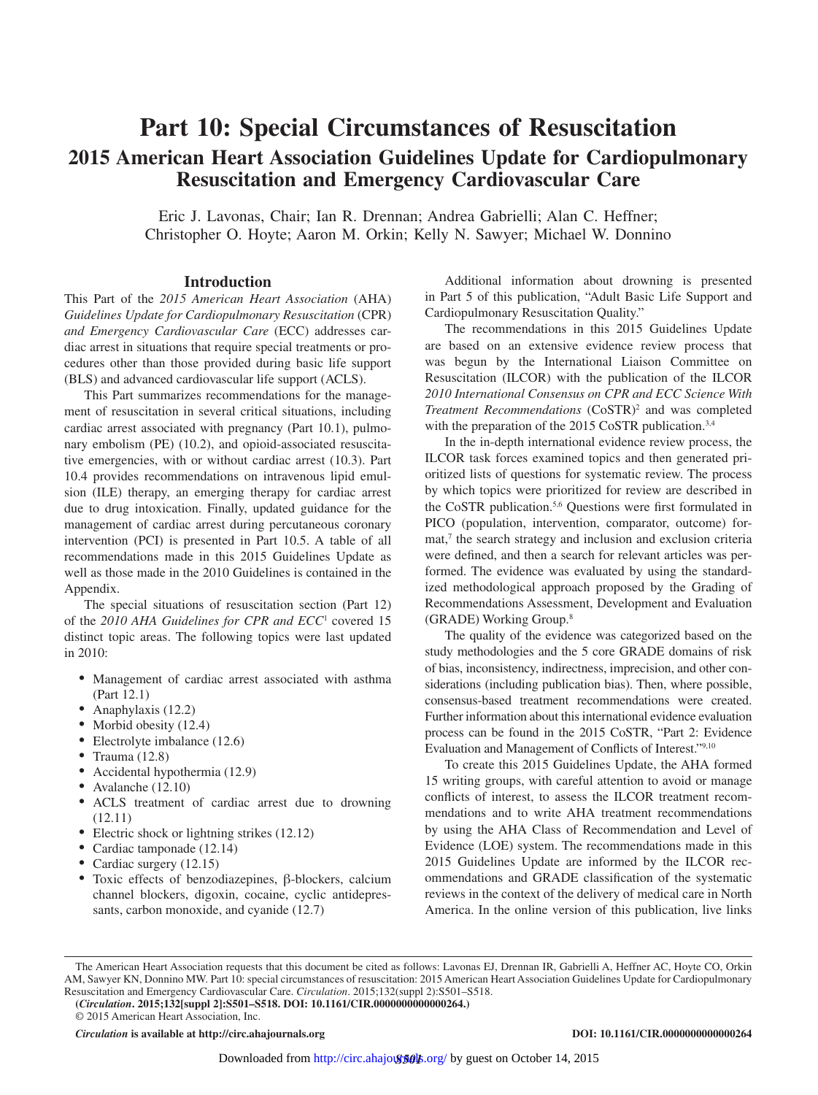# **Part 10: Special Circumstances of Resuscitation 2015 American Heart Association Guidelines Update for Cardiopulmonary Resuscitation and Emergency Cardiovascular Care**

Eric J. Lavonas, Chair; Ian R. Drennan; Andrea Gabrielli; Alan C. Heffner; Christopher O. Hoyte; Aaron M. Orkin; Kelly N. Sawyer; Michael W. Donnino

# **Introduction**

This Part of the *2015 American Heart Association* (AHA) *Guidelines Update for Cardiopulmonary Resuscitation* (CPR) *and Emergency Cardiovascular Care* (ECC) addresses cardiac arrest in situations that require special treatments or procedures other than those provided during basic life support (BLS) and advanced cardiovascular life support (ACLS).

This Part summarizes recommendations for the management of resuscitation in several critical situations, including cardiac arrest associated with pregnancy (Part 10.1), pulmonary embolism (PE) (10.2), and opioid-associated resuscitative emergencies, with or without cardiac arrest (10.3). Part 10.4 provides recommendations on intravenous lipid emulsion (ILE) therapy, an emerging therapy for cardiac arrest due to drug intoxication. Finally, updated guidance for the management of cardiac arrest during percutaneous coronary intervention (PCI) is presented in Part 10.5. A table of all recommendations made in this 2015 Guidelines Update as well as those made in the 2010 Guidelines is contained in the Appendix.

The special situations of resuscitation section (Part 12) of the 2010 AHA Guidelines for CPR and ECC<sup>1</sup> covered 15 distinct topic areas. The following topics were last updated in 2010:

- • Management of cardiac arrest associated with asthma (Part 12.1)
- Anaphylaxis (12.2)
- Morbid obesity (12.4)
- Electrolyte imbalance (12.6)
- Trauma  $(12.8)$
- Accidental hypothermia (12.9)
- Avalanche (12.10)
- ACLS treatment of cardiac arrest due to drowning (12.11)
- Electric shock or lightning strikes (12.12)
- Cardiac tamponade (12.14)
- Cardiac surgery (12.15)
- Toxic effects of benzodiazepines, β-blockers, calcium channel blockers, digoxin, cocaine, cyclic antidepressants, carbon monoxide, and cyanide (12.7)

Additional information about drowning is presented in Part 5 of this publication, "Adult Basic Life Support and Cardiopulmonary Resuscitation Quality."

The recommendations in this 2015 Guidelines Update are based on an extensive evidence review process that was begun by the International Liaison Committee on Resuscitation (ILCOR) with the publication of the ILCOR *2010 International Consensus on CPR and ECC Science With*  Treatment Recommendations (CoSTR)<sup>2</sup> and was completed with the preparation of the 2015 CoSTR publication.<sup>3,4</sup>

In the in-depth international evidence review process, the ILCOR task forces examined topics and then generated prioritized lists of questions for systematic review. The process by which topics were prioritized for review are described in the CoSTR publication.5,6 Questions were first formulated in PICO (population, intervention, comparator, outcome) format,<sup>7</sup> the search strategy and inclusion and exclusion criteria were defined, and then a search for relevant articles was performed. The evidence was evaluated by using the standardized methodological approach proposed by the Grading of Recommendations Assessment, Development and Evaluation (GRADE) Working Group.8

The quality of the evidence was categorized based on the study methodologies and the 5 core GRADE domains of risk of bias, inconsistency, indirectness, imprecision, and other considerations (including publication bias). Then, where possible, consensus-based treatment recommendations were created. Further information about this international evidence evaluation process can be found in the 2015 CoSTR, "Part 2: Evidence Evaluation and Management of Conflicts of Interest."9,10

To create this 2015 Guidelines Update, the AHA formed 15 writing groups, with careful attention to avoid or manage conflicts of interest, to assess the ILCOR treatment recommendations and to write AHA treatment recommendations by using the AHA Class of Recommendation and Level of Evidence (LOE) system. The recommendations made in this 2015 Guidelines Update are informed by the ILCOR recommendations and GRADE classification of the systematic reviews in the context of the delivery of medical care in North America. In the online version of this publication, live links

© 2015 American Heart Association, Inc.

*Circulation* **is available at http://circ.ahajournals.org DOI: 10.1161/CIR.0000000000000264**

The American Heart Association requests that this document be cited as follows: Lavonas EJ, Drennan IR, Gabrielli A, Heffner AC, Hoyte CO, Orkin AM, Sawyer KN, Donnino MW. Part 10: special circumstances of resuscitation: 2015 American Heart Association Guidelines Update for Cardiopulmonary Resuscitation and Emergency Cardiovascular Care. *Circulation*. 2015;132(suppl 2):S501–S518.

**<sup>(</sup>***Circulation***. 2015;132[suppl 2]:S501–S518. DOI: 10.1161/CIR.0000000000000264.)**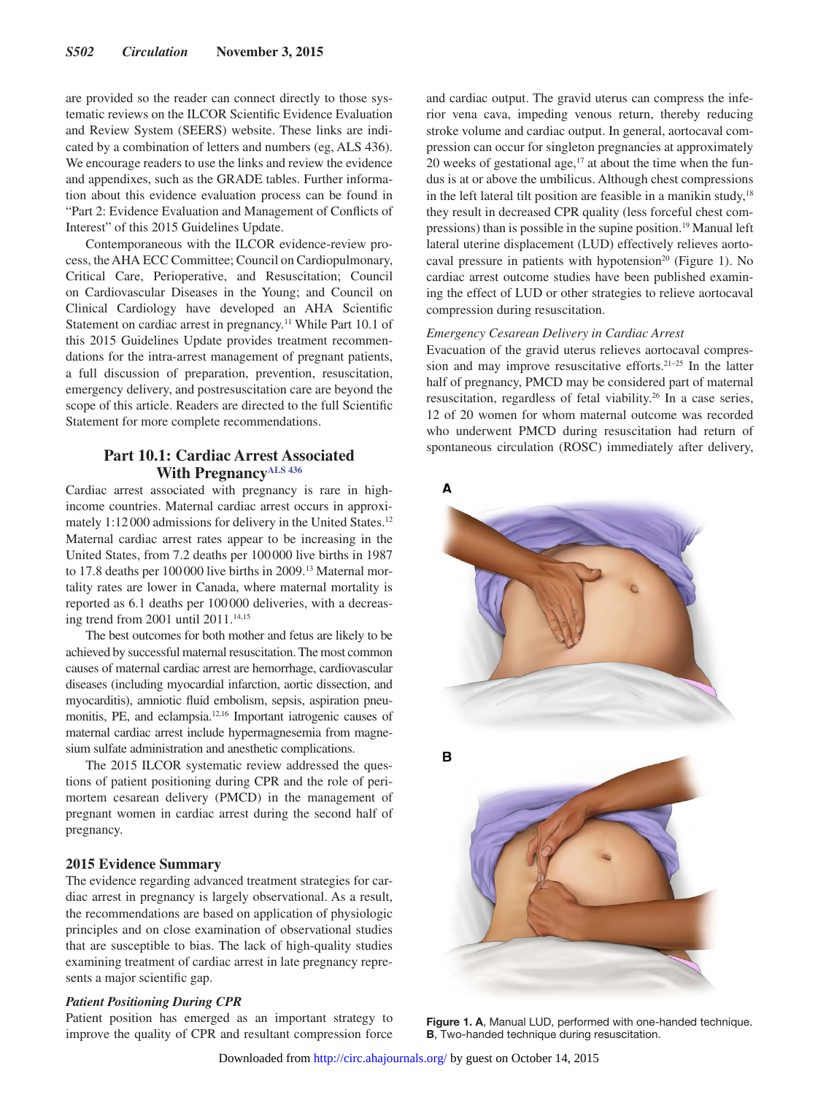are provided so the reader can connect directly to those systematic reviews on the ILCOR Scientific Evidence Evaluation and Review System (SEERS) website. These links are indicated by a combination of letters and numbers (eg, ALS 436). We encourage readers to use the links and review the evidence and appendixes, such as the GRADE tables. Further information about this evidence evaluation process can be found in "Part 2: Evidence Evaluation and Management of Conflicts of Interest" of this 2015 Guidelines Update.

Contemporaneous with the ILCOR evidence-review process, the AHA ECC Committee; Council on Cardiopulmonary, Critical Care, Perioperative, and Resuscitation; Council on Cardiovascular Diseases in the Young; and Council on Clinical Cardiology have developed an AHA Scientific Statement on cardiac arrest in pregnancy.<sup>11</sup> While Part 10.1 of this 2015 Guidelines Update provides treatment recommendations for the intra-arrest management of pregnant patients, a full discussion of preparation, prevention, resuscitation, emergency delivery, and postresuscitation care are beyond the scope of this article. Readers are directed to the full Scientific Statement for more complete recommendations.

# **Part 10.1: Cardiac Arrest Associated**  With Pregnancy<sup>ALS 436</sup>

Cardiac arrest associated with pregnancy is rare in highincome countries. Maternal cardiac arrest occurs in approximately 1:12000 admissions for delivery in the United States.<sup>12</sup> Maternal cardiac arrest rates appear to be increasing in the United States, from 7.2 deaths per 100 000 live births in 1987 to 17.8 deaths per 100 000 live births in 2009.13 Maternal mortality rates are lower in Canada, where maternal mortality is reported as 6.1 deaths per 100000 deliveries, with a decreasing trend from 2001 until  $2011.^{14,15}$ 

The best outcomes for both mother and fetus are likely to be achieved by successful maternal resuscitation. The most common causes of maternal cardiac arrest are hemorrhage, cardiovascular diseases (including myocardial infarction, aortic dissection, and myocarditis), amniotic fluid embolism, sepsis, aspiration pneumonitis, PE, and eclampsia.12,16 Important iatrogenic causes of maternal cardiac arrest include hypermagnesemia from magnesium sulfate administration and anesthetic complications.

The 2015 ILCOR systematic review addressed the questions of patient positioning during CPR and the role of perimortem cesarean delivery (PMCD) in the management of pregnant women in cardiac arrest during the second half of pregnancy.

## **2015 Evidence Summary**

The evidence regarding advanced treatment strategies for cardiac arrest in pregnancy is largely observational. As a result, the recommendations are based on application of physiologic principles and on close examination of observational studies that are susceptible to bias. The lack of high-quality studies examining treatment of cardiac arrest in late pregnancy represents a major scientific gap.

## *Patient Positioning During CPR*

Patient position has emerged as an important strategy to improve the quality of CPR and resultant compression force

and cardiac output. The gravid uterus can compress the inferior vena cava, impeding venous return, thereby reducing stroke volume and cardiac output. In general, aortocaval compression can occur for singleton pregnancies at approximately 20 weeks of gestational age, $17$  at about the time when the fundus is at or above the umbilicus. Although chest compressions in the left lateral tilt position are feasible in a manikin study,<sup>18</sup> they result in decreased CPR quality (less forceful chest compressions) than is possible in the supine position.19 Manual left lateral uterine displacement (LUD) effectively relieves aortocaval pressure in patients with hypotension<sup>20</sup> (Figure 1). No cardiac arrest outcome studies have been published examining the effect of LUD or other strategies to relieve aortocaval compression during resuscitation.

#### *Emergency Cesarean Delivery in Cardiac Arrest*

Evacuation of the gravid uterus relieves aortocaval compression and may improve resuscitative efforts.21–25 In the latter half of pregnancy, PMCD may be considered part of maternal resuscitation, regardless of fetal viability.26 In a case series, 12 of 20 women for whom maternal outcome was recorded who underwent PMCD during resuscitation had return of spontaneous circulation (ROSC) immediately after delivery,







**Figure 1. A**, Manual LUD, performed with one-handed technique. **B**, Two-handed technique during resuscitation.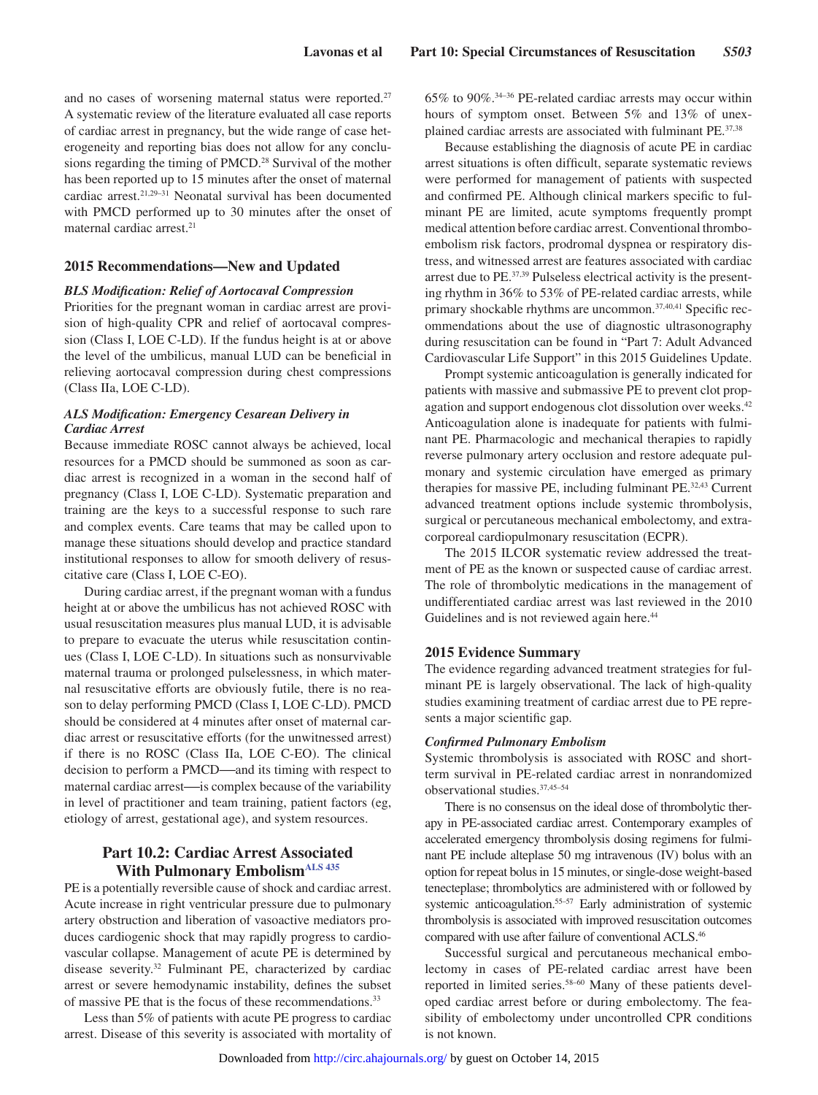and no cases of worsening maternal status were reported.<sup>27</sup> A systematic review of the literature evaluated all case reports of cardiac arrest in pregnancy, but the wide range of case heterogeneity and reporting bias does not allow for any conclusions regarding the timing of PMCD.<sup>28</sup> Survival of the mother has been reported up to 15 minutes after the onset of maternal cardiac arrest.21,29–31 Neonatal survival has been documented with PMCD performed up to 30 minutes after the onset of maternal cardiac arrest.<sup>21</sup>

# **2015 Recommendations—New and Updated**

#### *BLS Modification: Relief of Aortocaval Compression*

Priorities for the pregnant woman in cardiac arrest are provision of high-quality CPR and relief of aortocaval compression (Class I, LOE C-LD). If the fundus height is at or above the level of the umbilicus, manual LUD can be beneficial in relieving aortocaval compression during chest compressions (Class IIa, LOE C-LD).

# *ALS Modification: Emergency Cesarean Delivery in Cardiac Arrest*

Because immediate ROSC cannot always be achieved, local resources for a PMCD should be summoned as soon as cardiac arrest is recognized in a woman in the second half of pregnancy (Class I, LOE C-LD). Systematic preparation and training are the keys to a successful response to such rare and complex events. Care teams that may be called upon to manage these situations should develop and practice standard institutional responses to allow for smooth delivery of resuscitative care (Class I, LOE C-EO).

During cardiac arrest, if the pregnant woman with a fundus height at or above the umbilicus has not achieved ROSC with usual resuscitation measures plus manual LUD, it is advisable to prepare to evacuate the uterus while resuscitation continues (Class I, LOE C-LD). In situations such as nonsurvivable maternal trauma or prolonged pulselessness, in which maternal resuscitative efforts are obviously futile, there is no reason to delay performing PMCD (Class I, LOE C-LD). PMCD should be considered at 4 minutes after onset of maternal cardiac arrest or resuscitative efforts (for the unwitnessed arrest) if there is no ROSC (Class IIa, LOE C-EO). The clinical decision to perform a PMCD―and its timing with respect to maternal cardiac arrest—is complex because of the variability in level of practitioner and team training, patient factors (eg, etiology of arrest, gestational age), and system resources.

# **Part 10.2: Cardiac Arrest Associated With Pulmonary Embolism<sup>ALS 435</sup>**

PE is a potentially reversible cause of shock and cardiac arrest. Acute increase in right ventricular pressure due to pulmonary artery obstruction and liberation of vasoactive mediators produces cardiogenic shock that may rapidly progress to cardiovascular collapse. Management of acute PE is determined by disease severity.32 Fulminant PE, characterized by cardiac arrest or severe hemodynamic instability, defines the subset of massive PE that is the focus of these recommendations.33

Less than 5% of patients with acute PE progress to cardiac arrest. Disease of this severity is associated with mortality of 65% to 90%.34–36 PE-related cardiac arrests may occur within hours of symptom onset. Between 5% and 13% of unexplained cardiac arrests are associated with fulminant PE.37,38

Because establishing the diagnosis of acute PE in cardiac arrest situations is often difficult, separate systematic reviews were performed for management of patients with suspected and confirmed PE. Although clinical markers specific to fulminant PE are limited, acute symptoms frequently prompt medical attention before cardiac arrest. Conventional thromboembolism risk factors, prodromal dyspnea or respiratory distress, and witnessed arrest are features associated with cardiac arrest due to PE.37,39 Pulseless electrical activity is the presenting rhythm in 36% to 53% of PE-related cardiac arrests, while primary shockable rhythms are uncommon.<sup>37,40,41</sup> Specific recommendations about the use of diagnostic ultrasonography during resuscitation can be found in "Part 7: Adult Advanced Cardiovascular Life Support" in this 2015 Guidelines Update.

Prompt systemic anticoagulation is generally indicated for patients with massive and submassive PE to prevent clot propagation and support endogenous clot dissolution over weeks.<sup>42</sup> Anticoagulation alone is inadequate for patients with fulminant PE. Pharmacologic and mechanical therapies to rapidly reverse pulmonary artery occlusion and restore adequate pulmonary and systemic circulation have emerged as primary therapies for massive PE, including fulminant  $PE$ .  $32,43$  Current advanced treatment options include systemic thrombolysis, surgical or percutaneous mechanical embolectomy, and extracorporeal cardiopulmonary resuscitation (ECPR).

The 2015 ILCOR systematic review addressed the treatment of PE as the known or suspected cause of cardiac arrest. The role of thrombolytic medications in the management of undifferentiated cardiac arrest was last reviewed in the 2010 Guidelines and is not reviewed again here.<sup>44</sup>

# **2015 Evidence Summary**

The evidence regarding advanced treatment strategies for fulminant PE is largely observational. The lack of high-quality studies examining treatment of cardiac arrest due to PE represents a major scientific gap.

#### *Confirmed Pulmonary Embolism*

Systemic thrombolysis is associated with ROSC and shortterm survival in PE-related cardiac arrest in nonrandomized observational studies.37,45–54

There is no consensus on the ideal dose of thrombolytic therapy in PE-associated cardiac arrest. Contemporary examples of accelerated emergency thrombolysis dosing regimens for fulminant PE include alteplase 50 mg intravenous (IV) bolus with an option for repeat bolus in 15 minutes, or single-dose weight-based tenecteplase; thrombolytics are administered with or followed by systemic anticoagulation.<sup>55–57</sup> Early administration of systemic thrombolysis is associated with improved resuscitation outcomes compared with use after failure of conventional ACLS.46

Successful surgical and percutaneous mechanical embolectomy in cases of PE-related cardiac arrest have been reported in limited series.<sup>58-60</sup> Many of these patients developed cardiac arrest before or during embolectomy. The feasibility of embolectomy under uncontrolled CPR conditions is not known.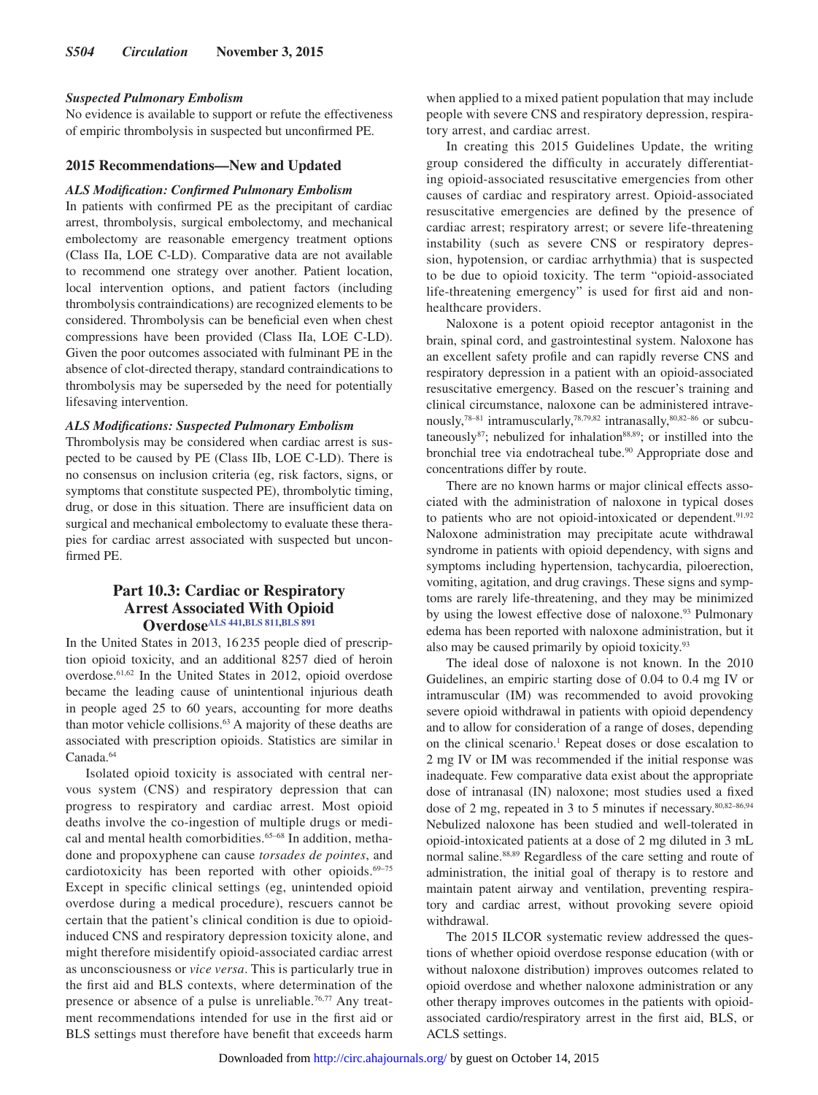# *Suspected Pulmonary Embolism*

No evidence is available to support or refute the effectiveness of empiric thrombolysis in suspected but unconfirmed PE.

# **2015 Recommendations—New and Updated**

# *ALS Modification: Confirmed Pulmonary Embolism*

In patients with confirmed PE as the precipitant of cardiac arrest, thrombolysis, surgical embolectomy, and mechanical embolectomy are reasonable emergency treatment options (Class IIa, LOE C-LD). Comparative data are not available to recommend one strategy over another. Patient location, local intervention options, and patient factors (including thrombolysis contraindications) are recognized elements to be considered. Thrombolysis can be beneficial even when chest compressions have been provided (Class IIa, LOE C-LD). Given the poor outcomes associated with fulminant PE in the absence of clot-directed therapy, standard contraindications to thrombolysis may be superseded by the need for potentially lifesaving intervention.

### *ALS Modifications: Suspected Pulmonary Embolism*

Thrombolysis may be considered when cardiac arrest is suspected to be caused by PE (Class IIb, LOE C-LD). There is no consensus on inclusion criteria (eg, risk factors, signs, or symptoms that constitute suspected PE), thrombolytic timing, drug, or dose in this situation. There are insufficient data on surgical and mechanical embolectomy to evaluate these therapies for cardiac arrest associated with suspected but unconfirmed PE.

# **Part 10.3: Cardiac or Respiratory Arrest Associated With Opioid Overdose[ALS 441,](https://volunteer.heart.org/apps/pico/Pages/PublicComment.aspx?q=441)[BLS 811,](https://volunteer.heart.org/apps/pico/Pages/PublicComment.aspx?q=811)[BLS 891](https://volunteer.heart.org/apps/pico/Pages/PublicComment.aspx?q=891)**

In the United States in 2013, 16235 people died of prescription opioid toxicity, and an additional 8257 died of heroin overdose.61,62 In the United States in 2012, opioid overdose became the leading cause of unintentional injurious death in people aged 25 to 60 years, accounting for more deaths than motor vehicle collisions.63 A majority of these deaths are associated with prescription opioids. Statistics are similar in Canada.64

Isolated opioid toxicity is associated with central nervous system (CNS) and respiratory depression that can progress to respiratory and cardiac arrest. Most opioid deaths involve the co-ingestion of multiple drugs or medical and mental health comorbidities.<sup>65-68</sup> In addition, methadone and propoxyphene can cause *torsades de pointes*, and cardiotoxicity has been reported with other opioids. $69-75$ Except in specific clinical settings (eg, unintended opioid overdose during a medical procedure), rescuers cannot be certain that the patient's clinical condition is due to opioidinduced CNS and respiratory depression toxicity alone, and might therefore misidentify opioid-associated cardiac arrest as unconsciousness or *vice versa*. This is particularly true in the first aid and BLS contexts, where determination of the presence or absence of a pulse is unreliable.<sup>76,77</sup> Any treatment recommendations intended for use in the first aid or BLS settings must therefore have benefit that exceeds harm

when applied to a mixed patient population that may include people with severe CNS and respiratory depression, respiratory arrest, and cardiac arrest.

In creating this 2015 Guidelines Update, the writing group considered the difficulty in accurately differentiating opioid-associated resuscitative emergencies from other causes of cardiac and respiratory arrest. Opioid-associated resuscitative emergencies are defined by the presence of cardiac arrest; respiratory arrest; or severe life-threatening instability (such as severe CNS or respiratory depression, hypotension, or cardiac arrhythmia) that is suspected to be due to opioid toxicity. The term "opioid-associated life-threatening emergency" is used for first aid and nonhealthcare providers.

Naloxone is a potent opioid receptor antagonist in the brain, spinal cord, and gastrointestinal system. Naloxone has an excellent safety profile and can rapidly reverse CNS and respiratory depression in a patient with an opioid-associated resuscitative emergency. Based on the rescuer's training and clinical circumstance, naloxone can be administered intravenously,78–81 intramuscularly,78,79,82 intranasally,80,82–86 or subcutaneously<sup>87</sup>; nebulized for inhalation<sup>88,89</sup>; or instilled into the bronchial tree via endotracheal tube.<sup>90</sup> Appropriate dose and concentrations differ by route.

There are no known harms or major clinical effects associated with the administration of naloxone in typical doses to patients who are not opioid-intoxicated or dependent. $91,92$ Naloxone administration may precipitate acute withdrawal syndrome in patients with opioid dependency, with signs and symptoms including hypertension, tachycardia, piloerection, vomiting, agitation, and drug cravings. These signs and symptoms are rarely life-threatening, and they may be minimized by using the lowest effective dose of naloxone.<sup>93</sup> Pulmonary edema has been reported with naloxone administration, but it also may be caused primarily by opioid toxicity.<sup>93</sup>

The ideal dose of naloxone is not known. In the 2010 Guidelines, an empiric starting dose of 0.04 to 0.4 mg IV or intramuscular (IM) was recommended to avoid provoking severe opioid withdrawal in patients with opioid dependency and to allow for consideration of a range of doses, depending on the clinical scenario.<sup>1</sup> Repeat doses or dose escalation to 2 mg IV or IM was recommended if the initial response was inadequate. Few comparative data exist about the appropriate dose of intranasal (IN) naloxone; most studies used a fixed dose of 2 mg, repeated in 3 to 5 minutes if necessary.80,82–86,94 Nebulized naloxone has been studied and well-tolerated in opioid-intoxicated patients at a dose of 2 mg diluted in 3 mL normal saline.<sup>88,89</sup> Regardless of the care setting and route of administration, the initial goal of therapy is to restore and maintain patent airway and ventilation, preventing respiratory and cardiac arrest, without provoking severe opioid withdrawal.

The 2015 ILCOR systematic review addressed the questions of whether opioid overdose response education (with or without naloxone distribution) improves outcomes related to opioid overdose and whether naloxone administration or any other therapy improves outcomes in the patients with opioidassociated cardio/respiratory arrest in the first aid, BLS, or ACLS settings.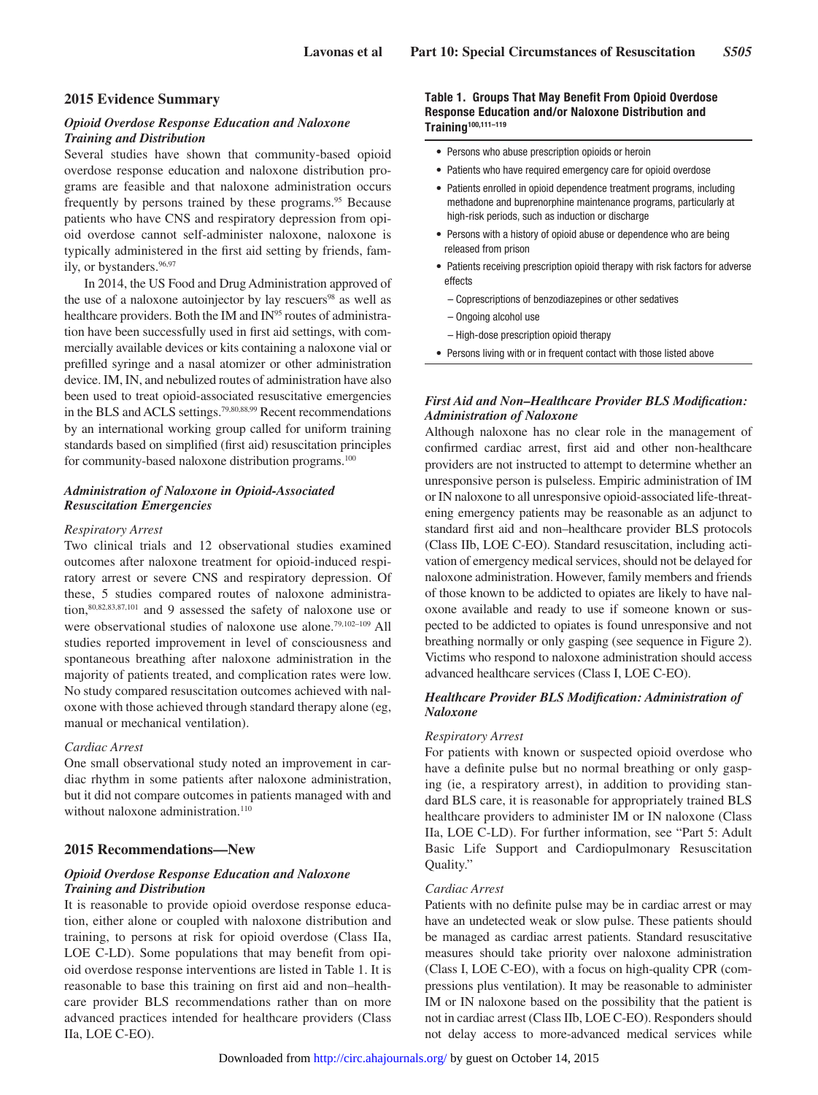# **2015 Evidence Summary**

# *Opioid Overdose Response Education and Naloxone Training and Distribution*

Several studies have shown that community-based opioid overdose response education and naloxone distribution programs are feasible and that naloxone administration occurs frequently by persons trained by these programs.<sup>95</sup> Because patients who have CNS and respiratory depression from opioid overdose cannot self-administer naloxone, naloxone is typically administered in the first aid setting by friends, family, or bystanders.<sup>96,97</sup>

In 2014, the US Food and Drug Administration approved of the use of a naloxone autoinjector by lay rescuers<sup>98</sup> as well as healthcare providers. Both the IM and IN<sup>95</sup> routes of administration have been successfully used in first aid settings, with commercially available devices or kits containing a naloxone vial or prefilled syringe and a nasal atomizer or other administration device. IM, IN, and nebulized routes of administration have also been used to treat opioid-associated resuscitative emergencies in the BLS and ACLS settings.79,80,88,99 Recent recommendations by an international working group called for uniform training standards based on simplified (first aid) resuscitation principles for community-based naloxone distribution programs.<sup>100</sup>

# *Administration of Naloxone in Opioid-Associated Resuscitation Emergencies*

#### *Respiratory Arrest*

Two clinical trials and 12 observational studies examined outcomes after naloxone treatment for opioid-induced respiratory arrest or severe CNS and respiratory depression. Of these, 5 studies compared routes of naloxone administration, 80,82,83,87,101 and 9 assessed the safety of naloxone use or were observational studies of naloxone use alone.<sup>79,102-109</sup> All studies reported improvement in level of consciousness and spontaneous breathing after naloxone administration in the majority of patients treated, and complication rates were low. No study compared resuscitation outcomes achieved with naloxone with those achieved through standard therapy alone (eg, manual or mechanical ventilation).

### *Cardiac Arrest*

One small observational study noted an improvement in cardiac rhythm in some patients after naloxone administration, but it did not compare outcomes in patients managed with and without naloxone administration.<sup>110</sup>

### **2015 Recommendations—New**

#### *Opioid Overdose Response Education and Naloxone Training and Distribution*

It is reasonable to provide opioid overdose response education, either alone or coupled with naloxone distribution and training, to persons at risk for opioid overdose (Class IIa, LOE C-LD). Some populations that may benefit from opioid overdose response interventions are listed in Table 1. It is reasonable to base this training on first aid and non–healthcare provider BLS recommendations rather than on more advanced practices intended for healthcare providers (Class IIa, LOE C-EO).

# **Table 1. Groups That May Benefit From Opioid Overdose Response Education and/or Naloxone Distribution and Training100,111–119**

- • Persons who abuse prescription opioids or heroin
- Patients who have required emergency care for opioid overdose
- • Patients enrolled in opioid dependence treatment programs, including methadone and buprenorphine maintenance programs, particularly at high-risk periods, such as induction or discharge
- Persons with a history of opioid abuse or dependence who are being released from prison
- Patients receiving prescription opioid therapy with risk factors for adverse effects
	- Coprescriptions of benzodiazepines or other sedatives
	- Ongoing alcohol use
	- High-dose prescription opioid therapy
- Persons living with or in frequent contact with those listed above

# *First Aid and Non–Healthcare Provider BLS Modification: Administration of Naloxone*

Although naloxone has no clear role in the management of confirmed cardiac arrest, first aid and other non-healthcare providers are not instructed to attempt to determine whether an unresponsive person is pulseless. Empiric administration of IM or IN naloxone to all unresponsive opioid-associated life-threatening emergency patients may be reasonable as an adjunct to standard first aid and non–healthcare provider BLS protocols (Class IIb, LOE C-EO). Standard resuscitation, including activation of emergency medical services, should not be delayed for naloxone administration. However, family members and friends of those known to be addicted to opiates are likely to have naloxone available and ready to use if someone known or suspected to be addicted to opiates is found unresponsive and not breathing normally or only gasping (see sequence in Figure 2). Victims who respond to naloxone administration should access advanced healthcare services (Class I, LOE C-EO).

# *Healthcare Provider BLS Modification: Administration of Naloxone*

#### *Respiratory Arrest*

For patients with known or suspected opioid overdose who have a definite pulse but no normal breathing or only gasping (ie, a respiratory arrest), in addition to providing standard BLS care, it is reasonable for appropriately trained BLS healthcare providers to administer IM or IN naloxone (Class IIa, LOE C-LD). For further information, see "Part 5: Adult Basic Life Support and Cardiopulmonary Resuscitation Quality."

### *Cardiac Arrest*

Patients with no definite pulse may be in cardiac arrest or may have an undetected weak or slow pulse. These patients should be managed as cardiac arrest patients. Standard resuscitative measures should take priority over naloxone administration (Class I, LOE C-EO), with a focus on high-quality CPR (compressions plus ventilation). It may be reasonable to administer IM or IN naloxone based on the possibility that the patient is not in cardiac arrest (Class IIb, LOE C-EO). Responders should not delay access to more-advanced medical services while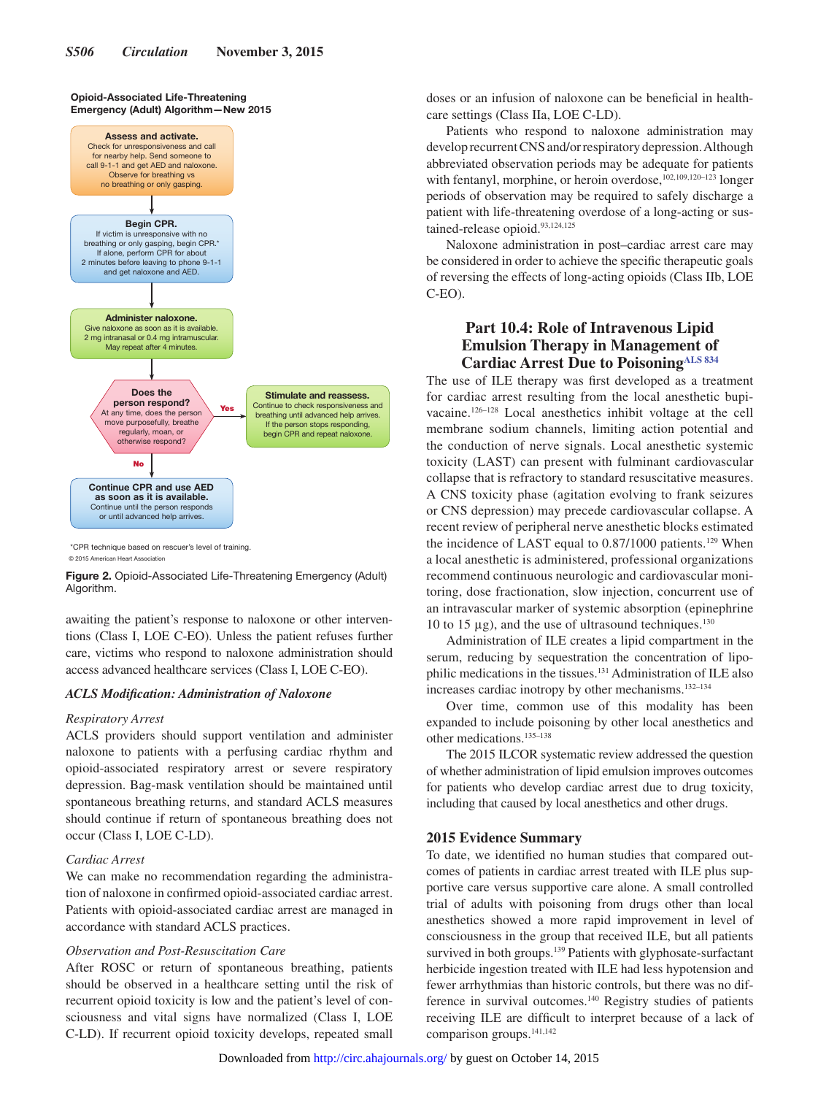#### Opioid-Associated Life-Threatening Emergency (Adult) Algorithm—New 2015



© 2015 American Heart Association \*CPR technique based on rescuer's level of training.

**Figure 2.** Opioid-Associated Life-Threatening Emergency (Adult) Algorithm.

awaiting the patient's response to naloxone or other interventions (Class I, LOE C-EO). Unless the patient refuses further care, victims who respond to naloxone administration should access advanced healthcare services (Class I, LOE C-EO).

# *ACLS Modification: Administration of Naloxone*

### *Respiratory Arrest*

ACLS providers should support ventilation and administer naloxone to patients with a perfusing cardiac rhythm and opioid-associated respiratory arrest or severe respiratory depression. Bag-mask ventilation should be maintained until spontaneous breathing returns, and standard ACLS measures should continue if return of spontaneous breathing does not occur (Class I, LOE C-LD).

### *Cardiac Arrest*

We can make no recommendation regarding the administration of naloxone in confirmed opioid-associated cardiac arrest. Patients with opioid-associated cardiac arrest are managed in accordance with standard ACLS practices.

### *Observation and Post-Resuscitation Care*

After ROSC or return of spontaneous breathing, patients should be observed in a healthcare setting until the risk of recurrent opioid toxicity is low and the patient's level of consciousness and vital signs have normalized (Class I, LOE C-LD). If recurrent opioid toxicity develops, repeated small doses or an infusion of naloxone can be beneficial in healthcare settings (Class IIa, LOE C-LD).

Patients who respond to naloxone administration may develop recurrent CNS and/or respiratory depression. Although abbreviated observation periods may be adequate for patients with fentanyl, morphine, or heroin overdose,<sup>102,109,120–123</sup> longer periods of observation may be required to safely discharge a patient with life-threatening overdose of a long-acting or sustained-release opioid.93,124,125

Naloxone administration in post–cardiac arrest care may be considered in order to achieve the specific therapeutic goals of reversing the effects of long-acting opioids (Class IIb, LOE C-EO).

# **Part 10.4: Role of Intravenous Lipid Emulsion Therapy in Management of Cardiac Arrest Due to Poisonin[gALS 834](https://volunteer.heart.org/apps/pico/Pages/PublicComment.aspx?q=834)**

The use of ILE therapy was first developed as a treatment for cardiac arrest resulting from the local anesthetic bupivacaine.126–128 Local anesthetics inhibit voltage at the cell membrane sodium channels, limiting action potential and the conduction of nerve signals. Local anesthetic systemic toxicity (LAST) can present with fulminant cardiovascular collapse that is refractory to standard resuscitative measures. A CNS toxicity phase (agitation evolving to frank seizures or CNS depression) may precede cardiovascular collapse. A recent review of peripheral nerve anesthetic blocks estimated the incidence of LAST equal to  $0.87/1000$  patients.<sup>129</sup> When a local anesthetic is administered, professional organizations recommend continuous neurologic and cardiovascular monitoring, dose fractionation, slow injection, concurrent use of an intravascular marker of systemic absorption (epinephrine 10 to 15 μg), and the use of ultrasound techniques. $130$ 

Administration of ILE creates a lipid compartment in the serum, reducing by sequestration the concentration of lipophilic medications in the tissues.131 Administration of ILE also increases cardiac inotropy by other mechanisms.132–134

Over time, common use of this modality has been expanded to include poisoning by other local anesthetics and other medications.135–138

The 2015 ILCOR systematic review addressed the question of whether administration of lipid emulsion improves outcomes for patients who develop cardiac arrest due to drug toxicity, including that caused by local anesthetics and other drugs.

### **2015 Evidence Summary**

To date, we identified no human studies that compared outcomes of patients in cardiac arrest treated with ILE plus supportive care versus supportive care alone. A small controlled trial of adults with poisoning from drugs other than local anesthetics showed a more rapid improvement in level of consciousness in the group that received ILE, but all patients survived in both groups.<sup>139</sup> Patients with glyphosate-surfactant herbicide ingestion treated with ILE had less hypotension and fewer arrhythmias than historic controls, but there was no difference in survival outcomes.140 Registry studies of patients receiving ILE are difficult to interpret because of a lack of comparison groups.141,142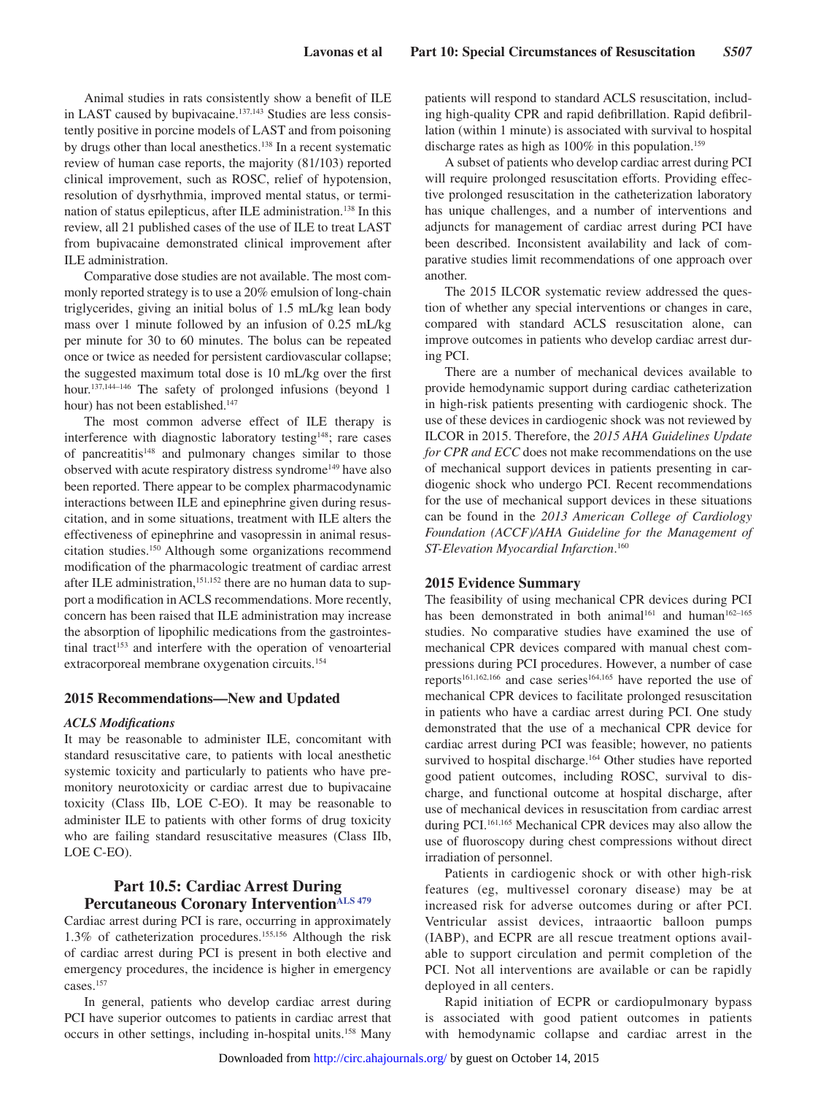Animal studies in rats consistently show a benefit of ILE in LAST caused by bupivacaine.<sup>137,143</sup> Studies are less consistently positive in porcine models of LAST and from poisoning by drugs other than local anesthetics.138 In a recent systematic review of human case reports, the majority (81/103) reported clinical improvement, such as ROSC, relief of hypotension, resolution of dysrhythmia, improved mental status, or termination of status epilepticus, after ILE administration.138 In this review, all 21 published cases of the use of ILE to treat LAST from bupivacaine demonstrated clinical improvement after ILE administration.

Comparative dose studies are not available. The most commonly reported strategy is to use a 20% emulsion of long-chain triglycerides, giving an initial bolus of 1.5 mL/kg lean body mass over 1 minute followed by an infusion of 0.25 mL/kg per minute for 30 to 60 minutes. The bolus can be repeated once or twice as needed for persistent cardiovascular collapse; the suggested maximum total dose is 10 mL/kg over the first hour.<sup>137,144–146</sup> The safety of prolonged infusions (beyond 1 hour) has not been established.<sup>147</sup>

The most common adverse effect of ILE therapy is interference with diagnostic laboratory testing<sup>148</sup>; rare cases of pancreatitis<sup>148</sup> and pulmonary changes similar to those observed with acute respiratory distress syndrome<sup>149</sup> have also been reported. There appear to be complex pharmacodynamic interactions between ILE and epinephrine given during resuscitation, and in some situations, treatment with ILE alters the effectiveness of epinephrine and vasopressin in animal resuscitation studies.150 Although some organizations recommend modification of the pharmacologic treatment of cardiac arrest after ILE administration,<sup>151,152</sup> there are no human data to support a modification in ACLS recommendations. More recently, concern has been raised that ILE administration may increase the absorption of lipophilic medications from the gastrointestinal tract<sup>153</sup> and interfere with the operation of venoarterial extracorporeal membrane oxygenation circuits.154

# **2015 Recommendations—New and Updated**

### *ACLS Modifications*

It may be reasonable to administer ILE, concomitant with standard resuscitative care, to patients with local anesthetic systemic toxicity and particularly to patients who have premonitory neurotoxicity or cardiac arrest due to bupivacaine toxicity (Class IIb, LOE C-EO). It may be reasonable to administer ILE to patients with other forms of drug toxicity who are failing standard resuscitative measures (Class IIb, LOE C-EO).

# **Part 10.5: Cardiac Arrest During Percutaneous Coronary Intervention[ALS 479](https://volunteer.heart.org/apps/pico/Pages/PublicComment.aspx?q=479)**

Cardiac arrest during PCI is rare, occurring in approximately 1.3% of catheterization procedures.155,156 Although the risk of cardiac arrest during PCI is present in both elective and emergency procedures, the incidence is higher in emergency cases.157

In general, patients who develop cardiac arrest during PCI have superior outcomes to patients in cardiac arrest that occurs in other settings, including in-hospital units.158 Many patients will respond to standard ACLS resuscitation, including high-quality CPR and rapid defibrillation. Rapid defibrillation (within 1 minute) is associated with survival to hospital discharge rates as high as  $100\%$  in this population.<sup>159</sup>

A subset of patients who develop cardiac arrest during PCI will require prolonged resuscitation efforts. Providing effective prolonged resuscitation in the catheterization laboratory has unique challenges, and a number of interventions and adjuncts for management of cardiac arrest during PCI have been described. Inconsistent availability and lack of comparative studies limit recommendations of one approach over another.

The 2015 ILCOR systematic review addressed the question of whether any special interventions or changes in care, compared with standard ACLS resuscitation alone, can improve outcomes in patients who develop cardiac arrest during PCI.

There are a number of mechanical devices available to provide hemodynamic support during cardiac catheterization in high-risk patients presenting with cardiogenic shock. The use of these devices in cardiogenic shock was not reviewed by ILCOR in 2015. Therefore, the *2015 AHA Guidelines Update for CPR and ECC* does not make recommendations on the use of mechanical support devices in patients presenting in cardiogenic shock who undergo PCI. Recent recommendations for the use of mechanical support devices in these situations can be found in the *2013 American College of Cardiology Foundation (ACCF)/AHA Guideline for the Management of ST-Elevation Myocardial Infarction*. 160

# **2015 Evidence Summary**

The feasibility of using mechanical CPR devices during PCI has been demonstrated in both animal<sup>161</sup> and human<sup>162–165</sup> studies. No comparative studies have examined the use of mechanical CPR devices compared with manual chest compressions during PCI procedures. However, a number of case reports<sup>161,162,166</sup> and case series<sup>164,165</sup> have reported the use of mechanical CPR devices to facilitate prolonged resuscitation in patients who have a cardiac arrest during PCI. One study demonstrated that the use of a mechanical CPR device for cardiac arrest during PCI was feasible; however, no patients survived to hospital discharge.<sup>164</sup> Other studies have reported good patient outcomes, including ROSC, survival to discharge, and functional outcome at hospital discharge, after use of mechanical devices in resuscitation from cardiac arrest during PCI.161,165 Mechanical CPR devices may also allow the use of fluoroscopy during chest compressions without direct irradiation of personnel.

Patients in cardiogenic shock or with other high-risk features (eg, multivessel coronary disease) may be at increased risk for adverse outcomes during or after PCI. Ventricular assist devices, intraaortic balloon pumps (IABP), and ECPR are all rescue treatment options available to support circulation and permit completion of the PCI. Not all interventions are available or can be rapidly deployed in all centers.

Rapid initiation of ECPR or cardiopulmonary bypass is associated with good patient outcomes in patients with hemodynamic collapse and cardiac arrest in the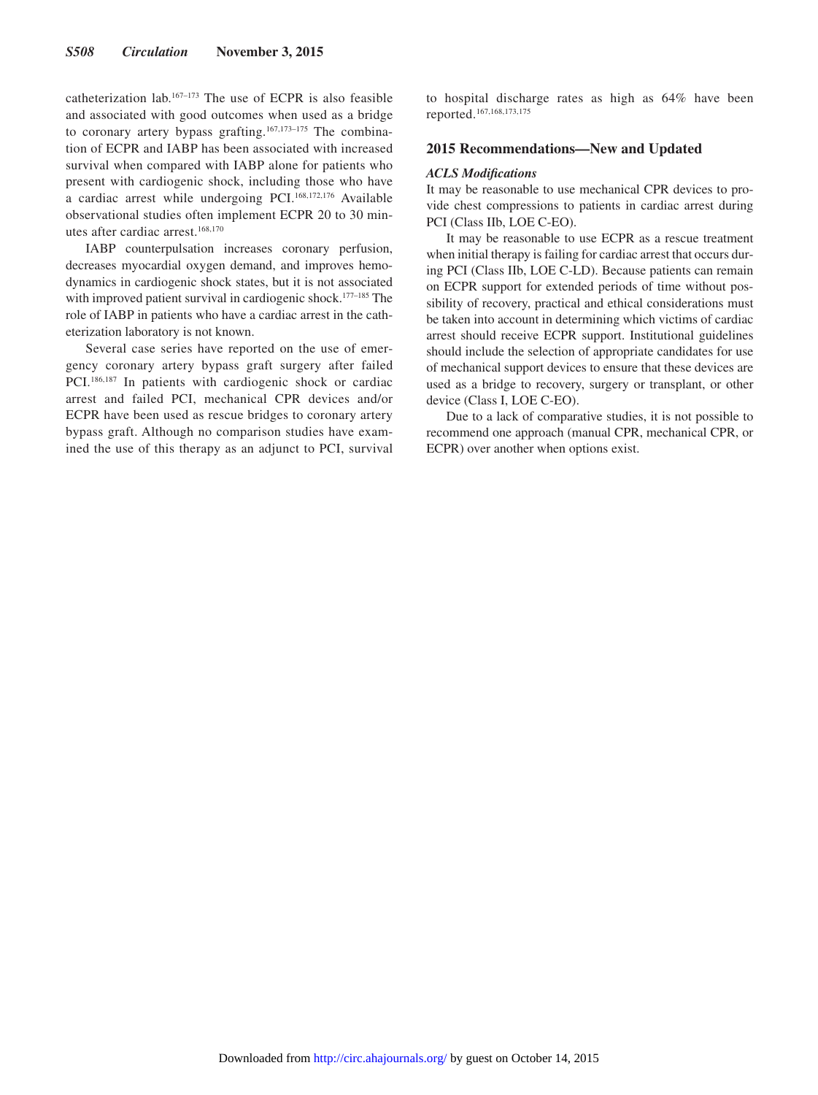catheterization lab.167–173 The use of ECPR is also feasible and associated with good outcomes when used as a bridge to coronary artery bypass grafting.<sup>167,173–175</sup> The combination of ECPR and IABP has been associated with increased survival when compared with IABP alone for patients who present with cardiogenic shock, including those who have a cardiac arrest while undergoing PCI.168,172,176 Available observational studies often implement ECPR 20 to 30 minutes after cardiac arrest.<sup>168,170</sup>

IABP counterpulsation increases coronary perfusion, decreases myocardial oxygen demand, and improves hemodynamics in cardiogenic shock states, but it is not associated with improved patient survival in cardiogenic shock.<sup>177–185</sup> The role of IABP in patients who have a cardiac arrest in the catheterization laboratory is not known.

Several case series have reported on the use of emergency coronary artery bypass graft surgery after failed PCI.<sup>186,187</sup> In patients with cardiogenic shock or cardiac arrest and failed PCI, mechanical CPR devices and/or ECPR have been used as rescue bridges to coronary artery bypass graft. Although no comparison studies have examined the use of this therapy as an adjunct to PCI, survival to hospital discharge rates as high as 64% have been reported.167,168,173,175

# **2015 Recommendations—New and Updated**

#### *ACLS Modifications*

It may be reasonable to use mechanical CPR devices to provide chest compressions to patients in cardiac arrest during PCI (Class IIb, LOE C-EO).

It may be reasonable to use ECPR as a rescue treatment when initial therapy is failing for cardiac arrest that occurs during PCI (Class IIb, LOE C-LD). Because patients can remain on ECPR support for extended periods of time without possibility of recovery, practical and ethical considerations must be taken into account in determining which victims of cardiac arrest should receive ECPR support. Institutional guidelines should include the selection of appropriate candidates for use of mechanical support devices to ensure that these devices are used as a bridge to recovery, surgery or transplant, or other device (Class I, LOE C-EO).

Due to a lack of comparative studies, it is not possible to recommend one approach (manual CPR, mechanical CPR, or ECPR) over another when options exist.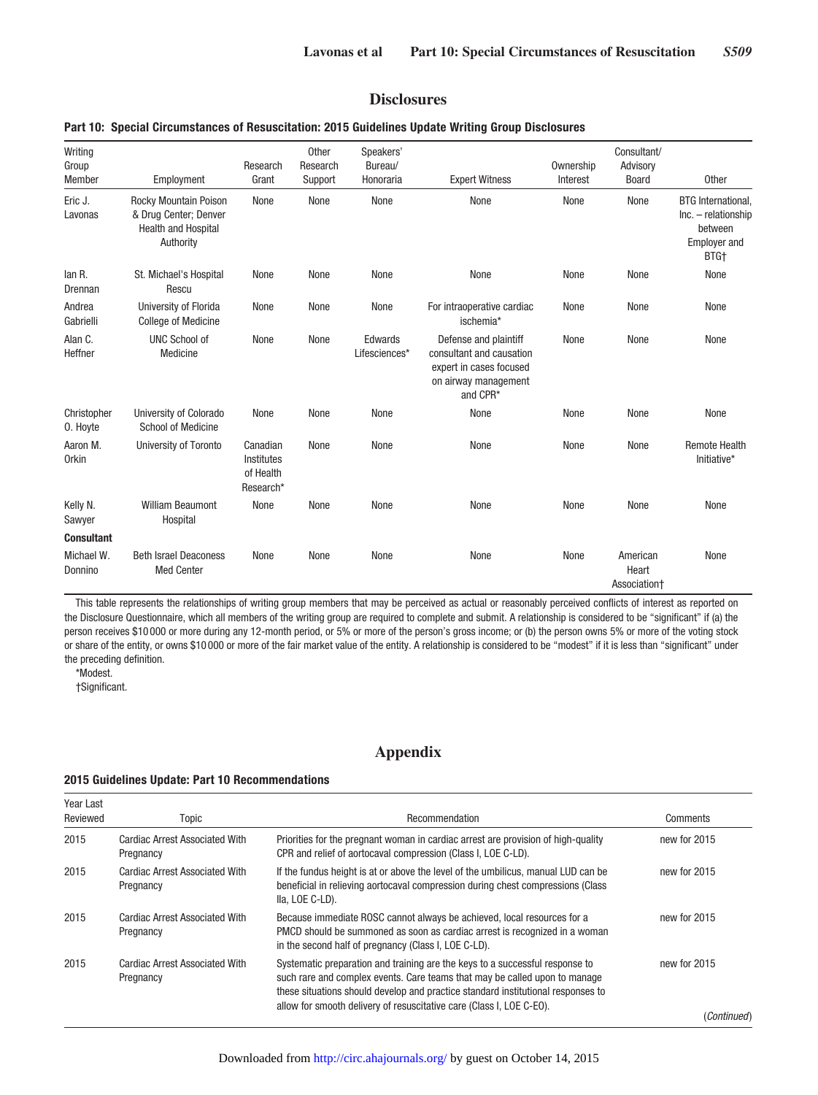# **Disclosures**

| Writing<br>Group<br>Member                 | Employment                                                                                | Research<br>Grant                                | <b>Other</b><br>Research<br>Support | Speakers'<br>Bureau/<br>Honoraria | <b>Expert Witness</b>                                                                                            | Ownership<br>Interest | Consultant/<br>Advisory<br>Board  | Other                                                                                      |
|--------------------------------------------|-------------------------------------------------------------------------------------------|--------------------------------------------------|-------------------------------------|-----------------------------------|------------------------------------------------------------------------------------------------------------------|-----------------------|-----------------------------------|--------------------------------------------------------------------------------------------|
| Eric J.<br>Lavonas                         | Rocky Mountain Poison<br>& Drug Center; Denver<br><b>Health and Hospital</b><br>Authority | None                                             | None                                | None                              | None                                                                                                             | None                  | None                              | <b>BTG</b> International,<br>Inc. - relationship<br>between<br><b>Employer and</b><br>BTG+ |
| lan R.<br>Drennan                          | St. Michael's Hospital<br>Rescu                                                           | None                                             | None                                | None                              | None                                                                                                             | None                  | None                              | None                                                                                       |
| Andrea<br>Gabrielli                        | University of Florida<br><b>College of Medicine</b>                                       | None                                             | None                                | None                              | For intraoperative cardiac<br>ischemia*                                                                          | None                  | None                              | None                                                                                       |
| Alan C.<br>Heffner                         | <b>UNC School of</b><br>Medicine                                                          | None                                             | None                                | Edwards<br>Lifesciences*          | Defense and plaintiff<br>consultant and causation<br>expert in cases focused<br>on airway management<br>and CPR* | None                  | None                              | None                                                                                       |
| Christopher<br>0. Hoyte                    | University of Colorado<br><b>School of Medicine</b>                                       | None                                             | None                                | None                              | None                                                                                                             | None                  | None                              | None                                                                                       |
| Aaron M.<br><b>Orkin</b>                   | University of Toronto                                                                     | Canadian<br>Institutes<br>of Health<br>Research* | None                                | None                              | None                                                                                                             | None                  | None                              | <b>Remote Health</b><br>Initiative*                                                        |
| Kelly N.<br>Sawyer                         | <b>William Beaumont</b><br>Hospital                                                       | None                                             | None                                | None                              | None                                                                                                             | None                  | None                              | None                                                                                       |
| <b>Consultant</b><br>Michael W.<br>Donnino | <b>Beth Israel Deaconess</b><br><b>Med Center</b>                                         | None                                             | None                                | None                              | None                                                                                                             | None                  | American<br>Heart<br>Association+ | None                                                                                       |

#### **Part 10: Special Circumstances of Resuscitation: 2015 Guidelines Update Writing Group Disclosures**

This table represents the relationships of writing group members that may be perceived as actual or reasonably perceived conflicts of interest as reported on the Disclosure Questionnaire, which all members of the writing group are required to complete and submit. A relationship is considered to be "significant" if (a) the person receives \$10 000 or more during any 12-month period, or 5% or more of the person's gross income; or (b) the person owns 5% or more of the voting stock or share of the entity, or owns \$10 000 or more of the fair market value of the entity. A relationship is considered to be "modest" if it is less than "significant" under the preceding definition.

\*Modest.

†Significant.

# **Appendix**

# **2015 Guidelines Update: Part 10 Recommendations**

| Year Last<br>Reviewed | Topic                                              | Recommendation                                                                                                                                                                                                                                                                                                         | Comments     |
|-----------------------|----------------------------------------------------|------------------------------------------------------------------------------------------------------------------------------------------------------------------------------------------------------------------------------------------------------------------------------------------------------------------------|--------------|
| 2015                  | <b>Cardiac Arrest Associated With</b><br>Pregnancy | Priorities for the pregnant woman in cardiac arrest are provision of high-quality<br>CPR and relief of aortocaval compression (Class I, LOE C-LD).                                                                                                                                                                     | new for 2015 |
| 2015                  | <b>Cardiac Arrest Associated With</b><br>Pregnancy | If the fundus height is at or above the level of the umbilicus, manual LUD can be<br>beneficial in relieving aortocaval compression during chest compressions (Class<br>Ila, LOE C-LD).                                                                                                                                | new for 2015 |
| 2015                  | <b>Cardiac Arrest Associated With</b><br>Pregnancy | Because immediate ROSC cannot always be achieved, local resources for a<br>PMCD should be summoned as soon as cardiac arrest is recognized in a woman<br>in the second half of pregnancy (Class I, LOE C-LD).                                                                                                          | new for 2015 |
| 2015                  | <b>Cardiac Arrest Associated With</b><br>Pregnancy | Systematic preparation and training are the keys to a successful response to<br>such rare and complex events. Care teams that may be called upon to manage<br>these situations should develop and practice standard institutional responses to<br>allow for smooth delivery of resuscitative care (Class I, LOE C-EO). | new for 2015 |
|                       |                                                    |                                                                                                                                                                                                                                                                                                                        | (Continued)  |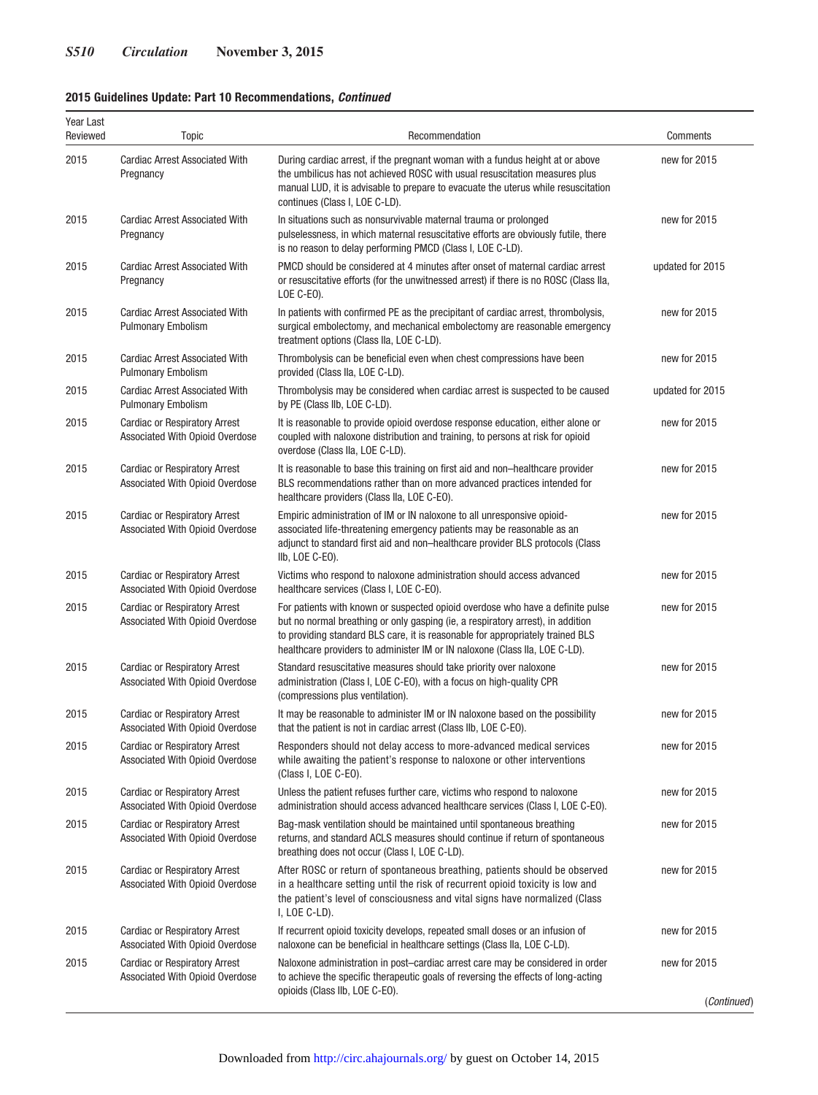| Year Last<br>Reviewed | Topic                                                                   | Recommendation                                                                                                                                                                                                                                                                                                                     | Comments         |
|-----------------------|-------------------------------------------------------------------------|------------------------------------------------------------------------------------------------------------------------------------------------------------------------------------------------------------------------------------------------------------------------------------------------------------------------------------|------------------|
| 2015                  | <b>Cardiac Arrest Associated With</b><br>Pregnancy                      | During cardiac arrest, if the pregnant woman with a fundus height at or above<br>the umbilicus has not achieved ROSC with usual resuscitation measures plus<br>manual LUD, it is advisable to prepare to evacuate the uterus while resuscitation<br>continues (Class I, LOE C-LD).                                                 | new for 2015     |
| 2015                  | <b>Cardiac Arrest Associated With</b><br>Pregnancy                      | In situations such as nonsurvivable maternal trauma or prolonged<br>pulselessness, in which maternal resuscitative efforts are obviously futile, there<br>is no reason to delay performing PMCD (Class I, LOE C-LD).                                                                                                               | new for 2015     |
| 2015                  | <b>Cardiac Arrest Associated With</b><br>Pregnancy                      | PMCD should be considered at 4 minutes after onset of maternal cardiac arrest<br>or resuscitative efforts (for the unwitnessed arrest) if there is no ROSC (Class IIa,<br>LOE C-EO).                                                                                                                                               | updated for 2015 |
| 2015                  | <b>Cardiac Arrest Associated With</b><br><b>Pulmonary Embolism</b>      | In patients with confirmed PE as the precipitant of cardiac arrest, thrombolysis,<br>surgical embolectomy, and mechanical embolectomy are reasonable emergency<br>treatment options (Class IIa, LOE C-LD).                                                                                                                         | new for 2015     |
| 2015                  | <b>Cardiac Arrest Associated With</b><br><b>Pulmonary Embolism</b>      | Thrombolysis can be beneficial even when chest compressions have been<br>provided (Class IIa, LOE C-LD).                                                                                                                                                                                                                           | new for 2015     |
| 2015                  | <b>Cardiac Arrest Associated With</b><br><b>Pulmonary Embolism</b>      | Thrombolysis may be considered when cardiac arrest is suspected to be caused<br>by PE (Class IIb, LOE C-LD).                                                                                                                                                                                                                       | updated for 2015 |
| 2015                  | <b>Cardiac or Respiratory Arrest</b><br>Associated With Opioid Overdose | It is reasonable to provide opioid overdose response education, either alone or<br>coupled with naloxone distribution and training, to persons at risk for opioid<br>overdose (Class IIa, LOE C-LD).                                                                                                                               | new for 2015     |
| 2015                  | <b>Cardiac or Respiratory Arrest</b><br>Associated With Opioid Overdose | It is reasonable to base this training on first aid and non-healthcare provider<br>BLS recommendations rather than on more advanced practices intended for<br>healthcare providers (Class IIa, LOE C-EO).                                                                                                                          | new for 2015     |
| 2015                  | <b>Cardiac or Respiratory Arrest</b><br>Associated With Opioid Overdose | Empiric administration of IM or IN naloxone to all unresponsive opioid-<br>associated life-threatening emergency patients may be reasonable as an<br>adjunct to standard first aid and non-healthcare provider BLS protocols (Class<br>IIb, LOE C-EO).                                                                             | new for 2015     |
| 2015                  | <b>Cardiac or Respiratory Arrest</b><br>Associated With Opioid Overdose | Victims who respond to naloxone administration should access advanced<br>healthcare services (Class I, LOE C-EO).                                                                                                                                                                                                                  | new for 2015     |
| 2015                  | <b>Cardiac or Respiratory Arrest</b><br>Associated With Opioid Overdose | For patients with known or suspected opioid overdose who have a definite pulse<br>but no normal breathing or only gasping (ie, a respiratory arrest), in addition<br>to providing standard BLS care, it is reasonable for appropriately trained BLS<br>healthcare providers to administer IM or IN naloxone (Class IIa, LOE C-LD). | new for 2015     |
| 2015                  | <b>Cardiac or Respiratory Arrest</b><br>Associated With Opioid Overdose | Standard resuscitative measures should take priority over naloxone<br>administration (Class I, LOE C-EO), with a focus on high-quality CPR<br>(compressions plus ventilation).                                                                                                                                                     | new for 2015     |
| 2015                  | <b>Cardiac or Respiratory Arrest</b><br>Associated With Opioid Overdose | It may be reasonable to administer IM or IN naloxone based on the possibility<br>that the patient is not in cardiac arrest (Class IIb, LOE C-EO).                                                                                                                                                                                  | new for 2015     |
| 2015                  | <b>Cardiac or Respiratory Arrest</b><br>Associated With Opioid Overdose | Responders should not delay access to more-advanced medical services<br>while awaiting the patient's response to naloxone or other interventions<br>(Class I, LOE C-EO).                                                                                                                                                           | new for 2015     |
| 2015                  | <b>Cardiac or Respiratory Arrest</b><br>Associated With Opioid Overdose | Unless the patient refuses further care, victims who respond to naloxone<br>administration should access advanced healthcare services (Class I, LOE C-EO).                                                                                                                                                                         | new for 2015     |
| 2015                  | <b>Cardiac or Respiratory Arrest</b><br>Associated With Opioid Overdose | Bag-mask ventilation should be maintained until spontaneous breathing<br>returns, and standard ACLS measures should continue if return of spontaneous<br>breathing does not occur (Class I, LOE C-LD).                                                                                                                             | new for 2015     |
| 2015                  | <b>Cardiac or Respiratory Arrest</b><br>Associated With Opioid Overdose | After ROSC or return of spontaneous breathing, patients should be observed<br>in a healthcare setting until the risk of recurrent opioid toxicity is low and<br>the patient's level of consciousness and vital signs have normalized (Class<br>I, LOE $C$ -LD $)$ .                                                                | new for 2015     |
| 2015                  | <b>Cardiac or Respiratory Arrest</b><br>Associated With Opioid Overdose | If recurrent opioid toxicity develops, repeated small doses or an infusion of<br>naloxone can be beneficial in healthcare settings (Class IIa, LOE C-LD).                                                                                                                                                                          | new for 2015     |
| 2015                  | <b>Cardiac or Respiratory Arrest</b><br>Associated With Opioid Overdose | Naloxone administration in post-cardiac arrest care may be considered in order<br>to achieve the specific therapeutic goals of reversing the effects of long-acting<br>opioids (Class IIb, LOE C-EO).                                                                                                                              | new for 2015     |
|                       |                                                                         |                                                                                                                                                                                                                                                                                                                                    | (Continued)      |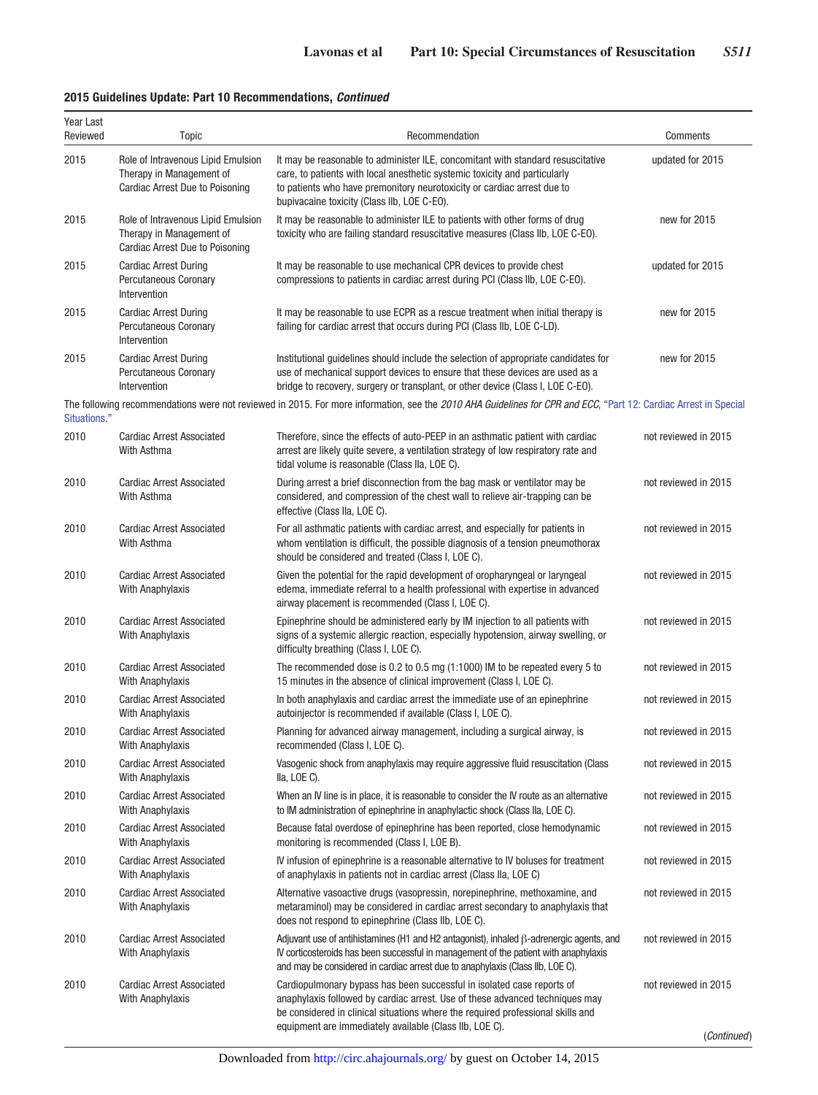| Year Last<br>Reviewed | Topic                                                                                             | Recommendation                                                                                                                                                                                                                                                                          | Comments             |
|-----------------------|---------------------------------------------------------------------------------------------------|-----------------------------------------------------------------------------------------------------------------------------------------------------------------------------------------------------------------------------------------------------------------------------------------|----------------------|
| 2015                  | Role of Intravenous Lipid Emulsion<br>Therapy in Management of<br>Cardiac Arrest Due to Poisoning | It may be reasonable to administer ILE, concomitant with standard resuscitative<br>care, to patients with local anesthetic systemic toxicity and particularly<br>to patients who have premonitory neurotoxicity or cardiac arrest due to<br>bupivacaine toxicity (Class IIb, LOE C-EO). | updated for 2015     |
| 2015                  | Role of Intravenous Lipid Emulsion<br>Therapy in Management of<br>Cardiac Arrest Due to Poisoning | It may be reasonable to administer ILE to patients with other forms of drug<br>toxicity who are failing standard resuscitative measures (Class IIb, LOE C-EO).                                                                                                                          | new for 2015         |
| 2015                  | <b>Cardiac Arrest During</b><br>Percutaneous Coronary<br>Intervention                             | It may be reasonable to use mechanical CPR devices to provide chest<br>compressions to patients in cardiac arrest during PCI (Class IIb, LOE C-EO).                                                                                                                                     | updated for 2015     |
| 2015                  | <b>Cardiac Arrest During</b><br>Percutaneous Coronary<br>Intervention                             | It may be reasonable to use ECPR as a rescue treatment when initial therapy is<br>failing for cardiac arrest that occurs during PCI (Class IIb, LOE C-LD).                                                                                                                              | new for 2015         |
| 2015                  | <b>Cardiac Arrest During</b><br>Percutaneous Coronary<br>Intervention                             | Institutional guidelines should include the selection of appropriate candidates for<br>use of mechanical support devices to ensure that these devices are used as a<br>bridge to recovery, surgery or transplant, or other device (Class I, LOE C-EO).                                  | new for 2015         |
| Situations."          |                                                                                                   | The following recommendations were not reviewed in 2015. For more information, see the 2010 AHA Guidelines for CPR and ECC, "Part 12: Cardiac Arrest in Special                                                                                                                         |                      |
| 2010                  | <b>Cardiac Arrest Associated</b><br>With Asthma                                                   | Therefore, since the effects of auto-PEEP in an asthmatic patient with cardiac<br>arrest are likely quite severe, a ventilation strategy of low respiratory rate and<br>tidal volume is reasonable (Class IIa, LOE C).                                                                  | not reviewed in 2015 |
| 2010                  | <b>Cardiac Arrest Associated</b><br>With Asthma                                                   | During arrest a brief disconnection from the bag mask or ventilator may be<br>considered, and compression of the chest wall to relieve air-trapping can be<br>effective (Class IIa, LOE C).                                                                                             | not reviewed in 2015 |
| 2010                  | <b>Cardiac Arrest Associated</b><br>With Asthma                                                   | For all asthmatic patients with cardiac arrest, and especially for patients in<br>whom ventilation is difficult, the possible diagnosis of a tension pneumothorax<br>should be considered and treated (Class I, LOE C).                                                                 | not reviewed in 2015 |
| 2010                  | <b>Cardiac Arrest Associated</b><br><b>With Anaphylaxis</b>                                       | Given the potential for the rapid development of oropharyngeal or laryngeal<br>edema, immediate referral to a health professional with expertise in advanced<br>airway placement is recommended (Class I, LOE C).                                                                       | not reviewed in 2015 |
| 2010                  | <b>Cardiac Arrest Associated</b><br>With Anaphylaxis                                              | Epinephrine should be administered early by IM injection to all patients with<br>signs of a systemic allergic reaction, especially hypotension, airway swelling, or<br>difficulty breathing (Class I, LOE C).                                                                           | not reviewed in 2015 |
| 2010                  | <b>Cardiac Arrest Associated</b><br><b>With Anaphylaxis</b>                                       | The recommended dose is 0.2 to 0.5 mg $(1:1000)$ IM to be repeated every 5 to<br>15 minutes in the absence of clinical improvement (Class I, LOE C).                                                                                                                                    | not reviewed in 2015 |
| 2010                  | <b>Cardiac Arrest Associated</b><br>With Anaphylaxis                                              | In both anaphylaxis and cardiac arrest the immediate use of an epinephrine<br>autoinjector is recommended if available (Class I, LOE C).                                                                                                                                                | not reviewed in 2015 |
| 2010                  | <b>Cardiac Arrest Associated</b><br>With Anaphylaxis                                              | Planning for advanced airway management, including a surgical airway, is<br>recommended (Class I, LOE C).                                                                                                                                                                               | not reviewed in 2015 |
| 2010                  | <b>Cardiac Arrest Associated</b><br>With Anaphylaxis                                              | Vasogenic shock from anaphylaxis may require aggressive fluid resuscitation (Class<br>Ila, LOE C).                                                                                                                                                                                      | not reviewed in 2015 |
| 2010                  | <b>Cardiac Arrest Associated</b><br>With Anaphylaxis                                              | When an IV line is in place, it is reasonable to consider the IV route as an alternative<br>to IM administration of epinephrine in anaphylactic shock (Class IIa, LOE C).                                                                                                               | not reviewed in 2015 |
| 2010                  | <b>Cardiac Arrest Associated</b><br>With Anaphylaxis                                              | Because fatal overdose of epinephrine has been reported, close hemodynamic<br>monitoring is recommended (Class I, LOE B).                                                                                                                                                               | not reviewed in 2015 |
| 2010                  | <b>Cardiac Arrest Associated</b><br><b>With Anaphylaxis</b>                                       | IV infusion of epinephrine is a reasonable alternative to IV boluses for treatment<br>of anaphylaxis in patients not in cardiac arrest (Class IIa, LOE C)                                                                                                                               | not reviewed in 2015 |
| 2010                  | <b>Cardiac Arrest Associated</b><br><b>With Anaphylaxis</b>                                       | Alternative vasoactive drugs (vasopressin, norepinephrine, methoxamine, and<br>metaraminol) may be considered in cardiac arrest secondary to anaphylaxis that<br>does not respond to epinephrine (Class IIb, LOE C).                                                                    | not reviewed in 2015 |
| 2010                  | <b>Cardiac Arrest Associated</b><br><b>With Anaphylaxis</b>                                       | Adjuvant use of antihistamines (H1 and H2 antagonist), inhaled β-adrenergic agents, and<br>IV corticosteroids has been successful in management of the patient with anaphylaxis<br>and may be considered in cardiac arrest due to anaphylaxis (Class IIb, LOE C).                       | not reviewed in 2015 |
| 2010                  | <b>Cardiac Arrest Associated</b><br><b>With Anaphylaxis</b>                                       | Cardiopulmonary bypass has been successful in isolated case reports of<br>anaphylaxis followed by cardiac arrest. Use of these advanced techniques may<br>be considered in clinical situations where the required professional skills and                                               | not reviewed in 2015 |
|                       |                                                                                                   | equipment are immediately available (Class IIb, LOE C).                                                                                                                                                                                                                                 | (Continued)          |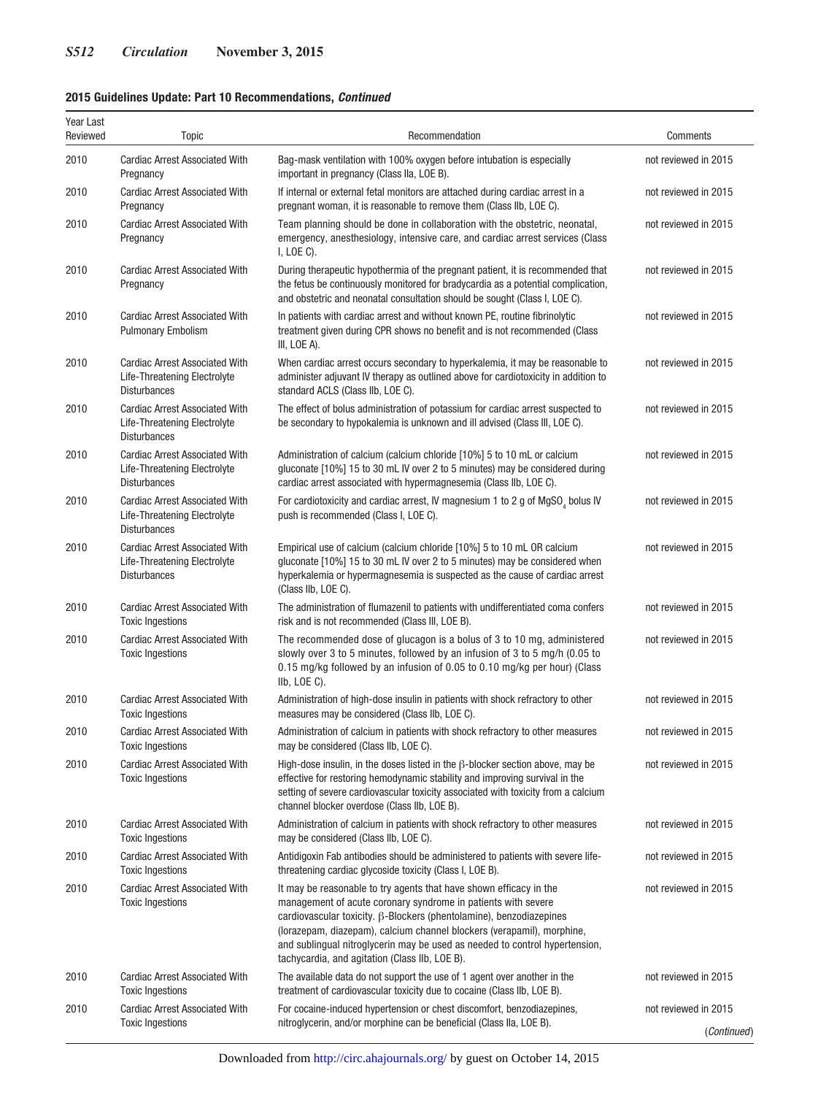| <b>Year Last</b><br>Reviewed | Topic                                                                                        | Recommendation                                                                                                                                                                                                                                                                                                                                                                                                        | Comments             |
|------------------------------|----------------------------------------------------------------------------------------------|-----------------------------------------------------------------------------------------------------------------------------------------------------------------------------------------------------------------------------------------------------------------------------------------------------------------------------------------------------------------------------------------------------------------------|----------------------|
| 2010                         | <b>Cardiac Arrest Associated With</b><br>Pregnancy                                           | Bag-mask ventilation with 100% oxygen before intubation is especially<br>important in pregnancy (Class IIa, LOE B).                                                                                                                                                                                                                                                                                                   | not reviewed in 2015 |
| 2010                         | <b>Cardiac Arrest Associated With</b><br>Pregnancy                                           | If internal or external fetal monitors are attached during cardiac arrest in a<br>pregnant woman, it is reasonable to remove them (Class IIb, LOE C).                                                                                                                                                                                                                                                                 | not reviewed in 2015 |
| 2010                         | <b>Cardiac Arrest Associated With</b><br>Pregnancy                                           | Team planning should be done in collaboration with the obstetric, neonatal,<br>emergency, anesthesiology, intensive care, and cardiac arrest services (Class<br>$I, LOE C$ ).                                                                                                                                                                                                                                         | not reviewed in 2015 |
| 2010                         | <b>Cardiac Arrest Associated With</b><br>Pregnancy                                           | During therapeutic hypothermia of the pregnant patient, it is recommended that<br>the fetus be continuously monitored for bradycardia as a potential complication,<br>and obstetric and neonatal consultation should be sought (Class I, LOE C).                                                                                                                                                                      | not reviewed in 2015 |
| 2010                         | <b>Cardiac Arrest Associated With</b><br><b>Pulmonary Embolism</b>                           | In patients with cardiac arrest and without known PE, routine fibrinolytic<br>treatment given during CPR shows no benefit and is not recommended (Class<br>III, LOE A).                                                                                                                                                                                                                                               | not reviewed in 2015 |
| 2010                         | <b>Cardiac Arrest Associated With</b><br>Life-Threatening Electrolyte<br><b>Disturbances</b> | When cardiac arrest occurs secondary to hyperkalemia, it may be reasonable to<br>administer adjuvant IV therapy as outlined above for cardiotoxicity in addition to<br>standard ACLS (Class IIb, LOE C).                                                                                                                                                                                                              | not reviewed in 2015 |
| 2010                         | <b>Cardiac Arrest Associated With</b><br>Life-Threatening Electrolyte<br><b>Disturbances</b> | The effect of bolus administration of potassium for cardiac arrest suspected to<br>be secondary to hypokalemia is unknown and ill advised (Class III, LOE C).                                                                                                                                                                                                                                                         | not reviewed in 2015 |
| 2010                         | <b>Cardiac Arrest Associated With</b><br>Life-Threatening Electrolyte<br><b>Disturbances</b> | Administration of calcium (calcium chloride [10%] 5 to 10 mL or calcium<br>gluconate [10%] 15 to 30 mL IV over 2 to 5 minutes) may be considered during<br>cardiac arrest associated with hypermagnesemia (Class IIb, LOE C).                                                                                                                                                                                         | not reviewed in 2015 |
| 2010                         | <b>Cardiac Arrest Associated With</b><br>Life-Threatening Electrolyte<br><b>Disturbances</b> | For cardiotoxicity and cardiac arrest, IV magnesium 1 to 2 g of MgSO <sub>4</sub> bolus IV<br>push is recommended (Class I, LOE C).                                                                                                                                                                                                                                                                                   | not reviewed in 2015 |
| 2010                         | <b>Cardiac Arrest Associated With</b><br>Life-Threatening Electrolyte<br><b>Disturbances</b> | Empirical use of calcium (calcium chloride [10%] 5 to 10 mL OR calcium<br>gluconate [10%] 15 to 30 mL IV over 2 to 5 minutes) may be considered when<br>hyperkalemia or hypermagnesemia is suspected as the cause of cardiac arrest<br>(Class IIb, LOE C).                                                                                                                                                            | not reviewed in 2015 |
| 2010                         | <b>Cardiac Arrest Associated With</b><br><b>Toxic Ingestions</b>                             | The administration of flumazenil to patients with undifferentiated coma confers<br>risk and is not recommended (Class III, LOE B).                                                                                                                                                                                                                                                                                    | not reviewed in 2015 |
| 2010                         | <b>Cardiac Arrest Associated With</b><br><b>Toxic Ingestions</b>                             | The recommended dose of glucagon is a bolus of 3 to 10 mg, administered<br>slowly over 3 to 5 minutes, followed by an infusion of 3 to 5 mg/h (0.05 to<br>0.15 mg/kg followed by an infusion of 0.05 to 0.10 mg/kg per hour) (Class<br>IIb, LOE C).                                                                                                                                                                   | not reviewed in 2015 |
| 2010                         | <b>Cardiac Arrest Associated With</b><br><b>Toxic Ingestions</b>                             | Administration of high-dose insulin in patients with shock refractory to other<br>measures may be considered (Class IIb, LOE C).                                                                                                                                                                                                                                                                                      | not reviewed in 2015 |
| 2010                         | <b>Cardiac Arrest Associated With</b><br><b>Toxic Ingestions</b>                             | Administration of calcium in patients with shock refractory to other measures<br>may be considered (Class IIb, LOE C).                                                                                                                                                                                                                                                                                                | not reviewed in 2015 |
| 2010                         | <b>Cardiac Arrest Associated With</b><br><b>Toxic Ingestions</b>                             | High-dose insulin, in the doses listed in the $\beta$ -blocker section above, may be<br>effective for restoring hemodynamic stability and improving survival in the<br>setting of severe cardiovascular toxicity associated with toxicity from a calcium<br>channel blocker overdose (Class IIb, LOE B).                                                                                                              | not reviewed in 2015 |
| 2010                         | <b>Cardiac Arrest Associated With</b><br><b>Toxic Ingestions</b>                             | Administration of calcium in patients with shock refractory to other measures<br>may be considered (Class IIb, LOE C).                                                                                                                                                                                                                                                                                                | not reviewed in 2015 |
| 2010                         | <b>Cardiac Arrest Associated With</b><br><b>Toxic Ingestions</b>                             | Antidigoxin Fab antibodies should be administered to patients with severe life-<br>threatening cardiac glycoside toxicity (Class I, LOE B).                                                                                                                                                                                                                                                                           | not reviewed in 2015 |
| 2010                         | <b>Cardiac Arrest Associated With</b><br><b>Toxic Ingestions</b>                             | It may be reasonable to try agents that have shown efficacy in the<br>management of acute coronary syndrome in patients with severe<br>cardiovascular toxicity. β-Blockers (phentolamine), benzodiazepines<br>(lorazepam, diazepam), calcium channel blockers (verapamil), morphine,<br>and sublingual nitroglycerin may be used as needed to control hypertension,<br>tachycardia, and agitation (Class IIb, LOE B). | not reviewed in 2015 |
| 2010                         | <b>Cardiac Arrest Associated With</b><br><b>Toxic Ingestions</b>                             | The available data do not support the use of 1 agent over another in the<br>treatment of cardiovascular toxicity due to cocaine (Class IIb, LOE B).                                                                                                                                                                                                                                                                   | not reviewed in 2015 |
| 2010                         | <b>Cardiac Arrest Associated With</b><br><b>Toxic Ingestions</b>                             | For cocaine-induced hypertension or chest discomfort, benzodiazepines,<br>nitroglycerin, and/or morphine can be beneficial (Class IIa, LOE B).                                                                                                                                                                                                                                                                        | not reviewed in 2015 |
|                              |                                                                                              |                                                                                                                                                                                                                                                                                                                                                                                                                       | (Continued)          |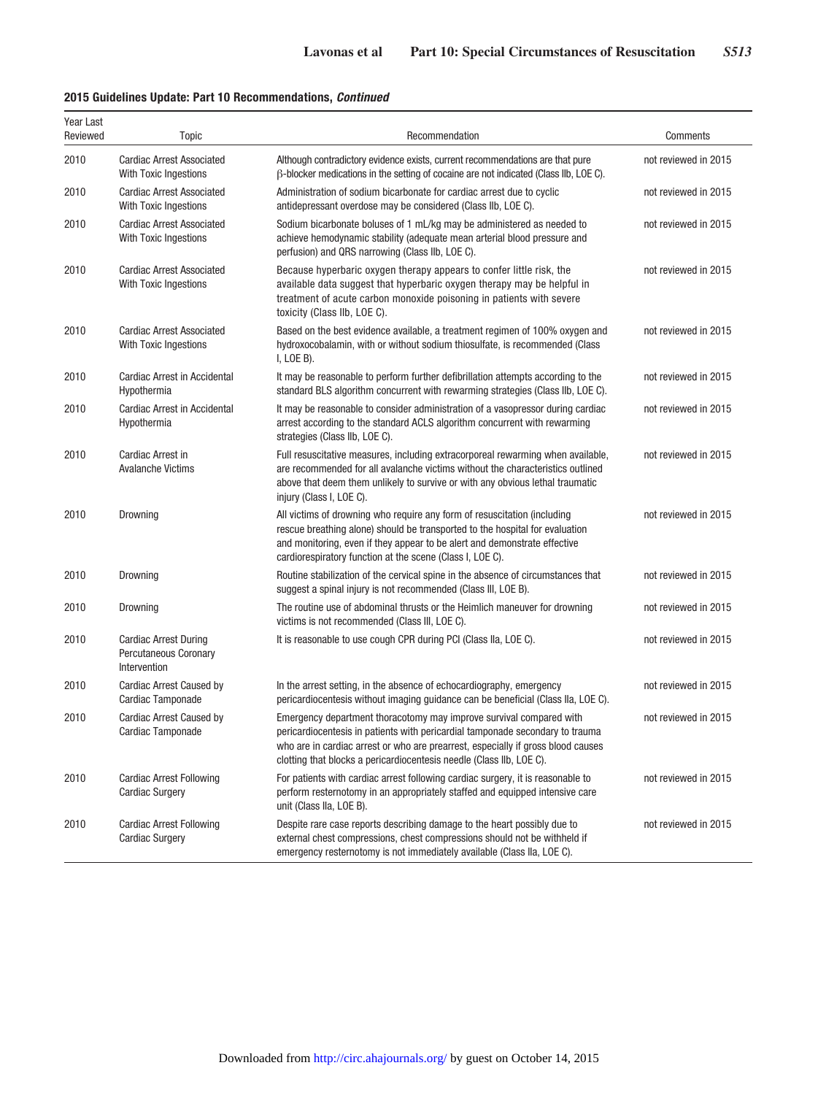| Year Last<br>Reviewed | Topic                                                                 | Recommendation                                                                                                                                                                                                                                                                                                   | Comments             |
|-----------------------|-----------------------------------------------------------------------|------------------------------------------------------------------------------------------------------------------------------------------------------------------------------------------------------------------------------------------------------------------------------------------------------------------|----------------------|
| 2010                  | <b>Cardiac Arrest Associated</b><br>With Toxic Ingestions             | Although contradictory evidence exists, current recommendations are that pure<br>B-blocker medications in the setting of cocaine are not indicated (Class IIb, LOE C).                                                                                                                                           | not reviewed in 2015 |
| 2010                  | <b>Cardiac Arrest Associated</b><br>With Toxic Ingestions             | Administration of sodium bicarbonate for cardiac arrest due to cyclic<br>antidepressant overdose may be considered (Class IIb, LOE C).                                                                                                                                                                           | not reviewed in 2015 |
| 2010                  | Cardiac Arrest Associated<br>With Toxic Ingestions                    | Sodium bicarbonate boluses of 1 mL/kg may be administered as needed to<br>achieve hemodynamic stability (adequate mean arterial blood pressure and<br>perfusion) and QRS narrowing (Class IIb, LOE C).                                                                                                           | not reviewed in 2015 |
| 2010                  | <b>Cardiac Arrest Associated</b><br>With Toxic Ingestions             | Because hyperbaric oxygen therapy appears to confer little risk, the<br>available data suggest that hyperbaric oxygen therapy may be helpful in<br>treatment of acute carbon monoxide poisoning in patients with severe<br>toxicity (Class IIb, LOE C).                                                          | not reviewed in 2015 |
| 2010                  | <b>Cardiac Arrest Associated</b><br>With Toxic Ingestions             | Based on the best evidence available, a treatment regimen of 100% oxygen and<br>hydroxocobalamin, with or without sodium thiosulfate, is recommended (Class<br>I, LOE $B$ ).                                                                                                                                     | not reviewed in 2015 |
| 2010                  | Cardiac Arrest in Accidental<br>Hypothermia                           | It may be reasonable to perform further defibrillation attempts according to the<br>standard BLS algorithm concurrent with rewarming strategies (Class IIb, LOE C).                                                                                                                                              | not reviewed in 2015 |
| 2010                  | Cardiac Arrest in Accidental<br>Hypothermia                           | It may be reasonable to consider administration of a vasopressor during cardiac<br>arrest according to the standard ACLS algorithm concurrent with rewarming<br>strategies (Class IIb, LOE C).                                                                                                                   | not reviewed in 2015 |
| 2010                  | Cardiac Arrest in<br><b>Avalanche Victims</b>                         | Full resuscitative measures, including extracorporeal rewarming when available,<br>are recommended for all avalanche victims without the characteristics outlined<br>above that deem them unlikely to survive or with any obvious lethal traumatic<br>injury (Class I, LOE C).                                   | not reviewed in 2015 |
| 2010                  | Drowning                                                              | All victims of drowning who require any form of resuscitation (including<br>rescue breathing alone) should be transported to the hospital for evaluation<br>and monitoring, even if they appear to be alert and demonstrate effective<br>cardiorespiratory function at the scene (Class I, LOE C).               | not reviewed in 2015 |
| 2010                  | Drowning                                                              | Routine stabilization of the cervical spine in the absence of circumstances that<br>suggest a spinal injury is not recommended (Class III, LOE B).                                                                                                                                                               | not reviewed in 2015 |
| 2010                  | Drowning                                                              | The routine use of abdominal thrusts or the Heimlich maneuver for drowning<br>victims is not recommended (Class III, LOE C).                                                                                                                                                                                     | not reviewed in 2015 |
| 2010                  | <b>Cardiac Arrest During</b><br>Percutaneous Coronary<br>Intervention | It is reasonable to use cough CPR during PCI (Class IIa, LOE C).                                                                                                                                                                                                                                                 | not reviewed in 2015 |
| 2010                  | <b>Cardiac Arrest Caused by</b><br><b>Cardiac Tamponade</b>           | In the arrest setting, in the absence of echocardiography, emergency<br>pericardiocentesis without imaging quidance can be beneficial (Class IIa, LOE C).                                                                                                                                                        | not reviewed in 2015 |
| 2010                  | Cardiac Arrest Caused by<br>Cardiac Tamponade                         | Emergency department thoracotomy may improve survival compared with<br>pericardiocentesis in patients with pericardial tamponade secondary to trauma<br>who are in cardiac arrest or who are prearrest, especially if gross blood causes<br>clotting that blocks a pericardiocentesis needle (Class IIb, LOE C). | not reviewed in 2015 |
| 2010                  | <b>Cardiac Arrest Following</b><br><b>Cardiac Surgery</b>             | For patients with cardiac arrest following cardiac surgery, it is reasonable to<br>perform resternotomy in an appropriately staffed and equipped intensive care<br>unit (Class IIa, LOE B).                                                                                                                      | not reviewed in 2015 |
| 2010                  | <b>Cardiac Arrest Following</b><br><b>Cardiac Surgery</b>             | Despite rare case reports describing damage to the heart possibly due to<br>external chest compressions, chest compressions should not be withheld if<br>emergency resternotomy is not immediately available (Class IIa, LOE C).                                                                                 | not reviewed in 2015 |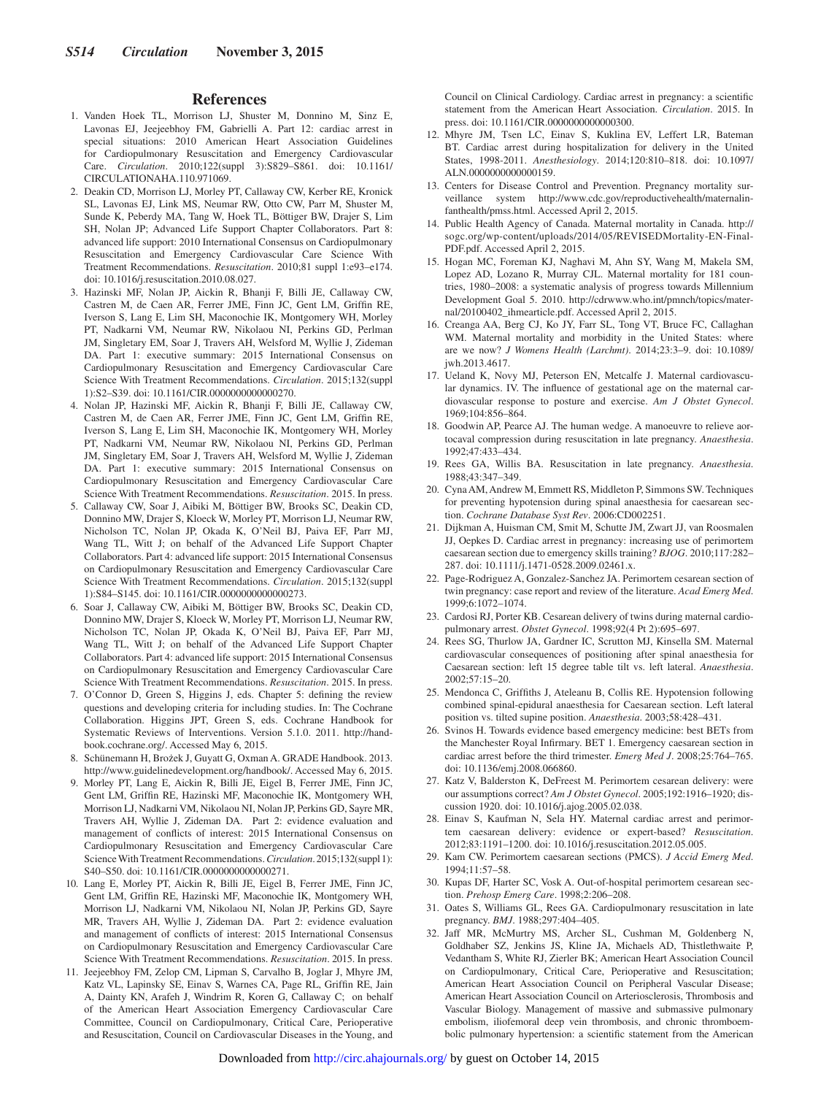#### **References**

- 1. Vanden Hoek TL, Morrison LJ, Shuster M, Donnino M, Sinz E, Lavonas EJ, Jeejeebhoy FM, Gabrielli A. Part 12: cardiac arrest in special situations: 2010 American Heart Association Guidelines for Cardiopulmonary Resuscitation and Emergency Cardiovascular Care. *Circulation*. 2010;122(suppl 3):S829–S861. doi: 10.1161/ CIRCULATIONAHA.110.971069.
- 2. Deakin CD, Morrison LJ, Morley PT, Callaway CW, Kerber RE, Kronick SL, Lavonas EJ, Link MS, Neumar RW, Otto CW, Parr M, Shuster M, Sunde K, Peberdy MA, Tang W, Hoek TL, Böttiger BW, Drajer S, Lim SH, Nolan JP; Advanced Life Support Chapter Collaborators. Part 8: advanced life support: 2010 International Consensus on Cardiopulmonary Resuscitation and Emergency Cardiovascular Care Science With Treatment Recommendations. *Resuscitation*. 2010;81 suppl 1:e93–e174. doi: 10.1016/j.resuscitation.2010.08.027.
- 3. Hazinski MF, Nolan JP, Aickin R, Bhanji F, Billi JE, Callaway CW, Castren M, de Caen AR, Ferrer JME, Finn JC, Gent LM, Griffin RE, Iverson S, Lang E, Lim SH, Maconochie IK, Montgomery WH, Morley PT, Nadkarni VM, Neumar RW, Nikolaou NI, Perkins GD, Perlman JM, Singletary EM, Soar J, Travers AH, Welsford M, Wyllie J, Zideman DA. Part 1: executive summary: 2015 International Consensus on Cardiopulmonary Resuscitation and Emergency Cardiovascular Care Science With Treatment Recommendations. *Circulation*. 2015;132(suppl 1):S2–S39. doi: 10.1161/CIR.0000000000000270.
- 4. Nolan JP, Hazinski MF, Aickin R, Bhanji F, Billi JE, Callaway CW, Castren M, de Caen AR, Ferrer JME, Finn JC, Gent LM, Griffin RE, Iverson S, Lang E, Lim SH, Maconochie IK, Montgomery WH, Morley PT, Nadkarni VM, Neumar RW, Nikolaou NI, Perkins GD, Perlman JM, Singletary EM, Soar J, Travers AH, Welsford M, Wyllie J, Zideman DA. Part 1: executive summary: 2015 International Consensus on Cardiopulmonary Resuscitation and Emergency Cardiovascular Care Science With Treatment Recommendations. *Resuscitation*. 2015. In press.
- 5. Callaway CW, Soar J, Aibiki M, Böttiger BW, Brooks SC, Deakin CD, Donnino MW, Drajer S, Kloeck W, Morley PT, Morrison LJ, Neumar RW, Nicholson TC, Nolan JP, Okada K, O'Neil BJ, Paiva EF, Parr MJ, Wang TL, Witt J; on behalf of the Advanced Life Support Chapter Collaborators. Part 4: advanced life support: 2015 International Consensus on Cardiopulmonary Resuscitation and Emergency Cardiovascular Care Science With Treatment Recommendations. *Circulation*. 2015;132(suppl 1):S84–S145. doi: 10.1161/CIR.0000000000000273.
- 6. Soar J, Callaway CW, Aibiki M, Böttiger BW, Brooks SC, Deakin CD, Donnino MW, Drajer S, Kloeck W, Morley PT, Morrison LJ, Neumar RW, Nicholson TC, Nolan JP, Okada K, O'Neil BJ, Paiva EF, Parr MJ, Wang TL, Witt J; on behalf of the Advanced Life Support Chapter Collaborators. Part 4: advanced life support: 2015 International Consensus on Cardiopulmonary Resuscitation and Emergency Cardiovascular Care Science With Treatment Recommendations. *Resuscitation*. 2015. In press.
- 7. O'Connor D, Green S, Higgins J, eds. Chapter 5: defining the review questions and developing criteria for including studies. In: The Cochrane Collaboration. Higgins JPT, Green S, eds. Cochrane Handbook for Systematic Reviews of Interventions. Version 5.1.0. 2011. [http://hand](http://www.handbook.cochrane.org/)[book.cochrane.org/](http://www.handbook.cochrane.org/). Accessed May 6, 2015.
- 8. Schünemann H, Brożek J, Guyatt G, Oxman A. GRADE Handbook. 2013. [http://www.guidelinedevelopment.org/handbook/.](http://www.guidelinedevelopment.org/handbook/) Accessed May 6, 2015.
- 9. Morley PT, Lang E, Aickin R, Billi JE, Eigel B, Ferrer JME, Finn JC, Gent LM, Griffin RE, Hazinski MF, Maconochie IK, Montgomery WH, Morrison LJ, Nadkarni VM, Nikolaou NI, Nolan JP, Perkins GD, Sayre MR, Travers AH, Wyllie J, Zideman DA. Part 2: evidence evaluation and management of conflicts of interest: 2015 International Consensus on Cardiopulmonary Resuscitation and Emergency Cardiovascular Care Science With Treatment Recommendations. *Circulation*. 2015;132(suppl 1): S40–S50. doi: 10.1161/CIR.0000000000000271.
- 10. Lang E, Morley PT, Aickin R, Billi JE, Eigel B, Ferrer JME, Finn JC, Gent LM, Griffin RE, Hazinski MF, Maconochie IK, Montgomery WH, Morrison LJ, Nadkarni VM, Nikolaou NI, Nolan JP, Perkins GD, Sayre MR, Travers AH, Wyllie J, Zideman DA. Part 2: evidence evaluation and management of conflicts of interest: 2015 International Consensus on Cardiopulmonary Resuscitation and Emergency Cardiovascular Care Science With Treatment Recommendations. *Resuscitation*. 2015. In press.
- 11. Jeejeebhoy FM, Zelop CM, Lipman S, Carvalho B, Joglar J, Mhyre JM, Katz VL, Lapinsky SE, Einav S, Warnes CA, Page RL, Griffin RE, Jain A, Dainty KN, Arafeh J, Windrim R, Koren G, Callaway C; on behalf of the American Heart Association Emergency Cardiovascular Care Committee, Council on Cardiopulmonary, Critical Care, Perioperative and Resuscitation, Council on Cardiovascular Diseases in the Young, and

Council on Clinical Cardiology. Cardiac arrest in pregnancy: a scientific statement from the American Heart Association. *Circulation*. 2015. In press. doi: 10.1161/CIR.0000000000000300.

- 12. Mhyre JM, Tsen LC, Einav S, Kuklina EV, Leffert LR, Bateman BT. Cardiac arrest during hospitalization for delivery in the United States, 1998-2011. *Anesthesiology*. 2014;120:810–818. doi: 10.1097/ ALN.0000000000000159.
- 13. Centers for Disease Control and Prevention. Pregnancy mortality surveillance system [http://www.cdc.gov/reproductivehealth/maternalin](http://www.cdc.gov/reproductivehealth/maternalinfanthealth/pmss.html)[fanthealth/pmss.html](http://www.cdc.gov/reproductivehealth/maternalinfanthealth/pmss.html). Accessed April 2, 2015.
- 14. Public Health Agency of Canada. Maternal mortality in Canada. [http://](http://www.sogc.org/wp-content/uploads/2014/05/REVISEDMortality-EN-Final-PDF.pdf) [sogc.org/wp-content/uploads/2014/05/REVISEDMortality-EN-Final-](http://www.sogc.org/wp-content/uploads/2014/05/REVISEDMortality-EN-Final-PDF.pdf)[PDF.pdf](http://www.sogc.org/wp-content/uploads/2014/05/REVISEDMortality-EN-Final-PDF.pdf). Accessed April 2, 2015.
- 15. Hogan MC, Foreman KJ, Naghavi M, Ahn SY, Wang M, Makela SM, Lopez AD, Lozano R, Murray CJL. Maternal mortality for 181 countries, 1980–2008: a systematic analysis of progress towards Millennium Development Goal 5. 2010. [http://cdrwww.who.int/pmnch/topics/mater](http://cdrwww.who.int/pmnch/topics/maternal/20100402_ihmearticle.pdf)[nal/20100402\\_ihmearticle.pdf.](http://cdrwww.who.int/pmnch/topics/maternal/20100402_ihmearticle.pdf) Accessed April 2, 2015.
- 16. Creanga AA, Berg CJ, Ko JY, Farr SL, Tong VT, Bruce FC, Callaghan WM. Maternal mortality and morbidity in the United States: where are we now? *J Womens Health (Larchmt)*. 2014;23:3–9. doi: 10.1089/ jwh.2013.4617.
- 17. Ueland K, Novy MJ, Peterson EN, Metcalfe J. Maternal cardiovascular dynamics. IV. The influence of gestational age on the maternal cardiovascular response to posture and exercise. *Am J Obstet Gynecol*. 1969;104:856–864.
- 18. Goodwin AP, Pearce AJ. The human wedge. A manoeuvre to relieve aortocaval compression during resuscitation in late pregnancy. *Anaesthesia*. 1992;47:433–434.
- 19. Rees GA, Willis BA. Resuscitation in late pregnancy. *Anaesthesia*. 1988;43:347–349.
- 20. Cyna AM, Andrew M, Emmett RS, Middleton P, Simmons SW. Techniques for preventing hypotension during spinal anaesthesia for caesarean section. *Cochrane Database Syst Rev*. 2006:CD002251.
- 21. Dijkman A, Huisman CM, Smit M, Schutte JM, Zwart JJ, van Roosmalen JJ, Oepkes D. Cardiac arrest in pregnancy: increasing use of perimortem caesarean section due to emergency skills training? *BJOG*. 2010;117:282– 287. doi: 10.1111/j.1471-0528.2009.02461.x.
- 22. Page-Rodriguez A, Gonzalez-Sanchez JA. Perimortem cesarean section of twin pregnancy: case report and review of the literature. *Acad Emerg Med*. 1999;6:1072–1074.
- 23. Cardosi RJ, Porter KB. Cesarean delivery of twins during maternal cardiopulmonary arrest. *Obstet Gynecol*. 1998;92(4 Pt 2):695–697.
- 24. Rees SG, Thurlow JA, Gardner IC, Scrutton MJ, Kinsella SM. Maternal cardiovascular consequences of positioning after spinal anaesthesia for Caesarean section: left 15 degree table tilt vs. left lateral. *Anaesthesia*. 2002;57:15–20.
- 25. Mendonca C, Griffiths J, Ateleanu B, Collis RE. Hypotension following combined spinal-epidural anaesthesia for Caesarean section. Left lateral position vs. tilted supine position. *Anaesthesia*. 2003;58:428–431.
- 26. Svinos H. Towards evidence based emergency medicine: best BETs from the Manchester Royal Infirmary. BET 1. Emergency caesarean section in cardiac arrest before the third trimester. *Emerg Med J*. 2008;25:764–765. doi: 10.1136/emj.2008.066860.
- 27. Katz V, Balderston K, DeFreest M. Perimortem cesarean delivery: were our assumptions correct? *Am J Obstet Gynecol*. 2005;192:1916–1920; discussion 1920. doi: 10.1016/j.ajog.2005.02.038.
- 28. Einav S, Kaufman N, Sela HY. Maternal cardiac arrest and perimortem caesarean delivery: evidence or expert-based? *Resuscitation*. 2012;83:1191–1200. doi: 10.1016/j.resuscitation.2012.05.005.
- 29. Kam CW. Perimortem caesarean sections (PMCS). *J Accid Emerg Med*. 1994;11:57–58.
- 30. Kupas DF, Harter SC, Vosk A. Out-of-hospital perimortem cesarean section. *Prehosp Emerg Care*. 1998;2:206–208.
- 31. Oates S, Williams GL, Rees GA. Cardiopulmonary resuscitation in late pregnancy. *BMJ*. 1988;297:404–405.
- 32. Jaff MR, McMurtry MS, Archer SL, Cushman M, Goldenberg N, Goldhaber SZ, Jenkins JS, Kline JA, Michaels AD, Thistlethwaite P, Vedantham S, White RJ, Zierler BK; American Heart Association Council on Cardiopulmonary, Critical Care, Perioperative and Resuscitation; American Heart Association Council on Peripheral Vascular Disease; American Heart Association Council on Arteriosclerosis, Thrombosis and Vascular Biology. Management of massive and submassive pulmonary embolism, iliofemoral deep vein thrombosis, and chronic thromboembolic pulmonary hypertension: a scientific statement from the American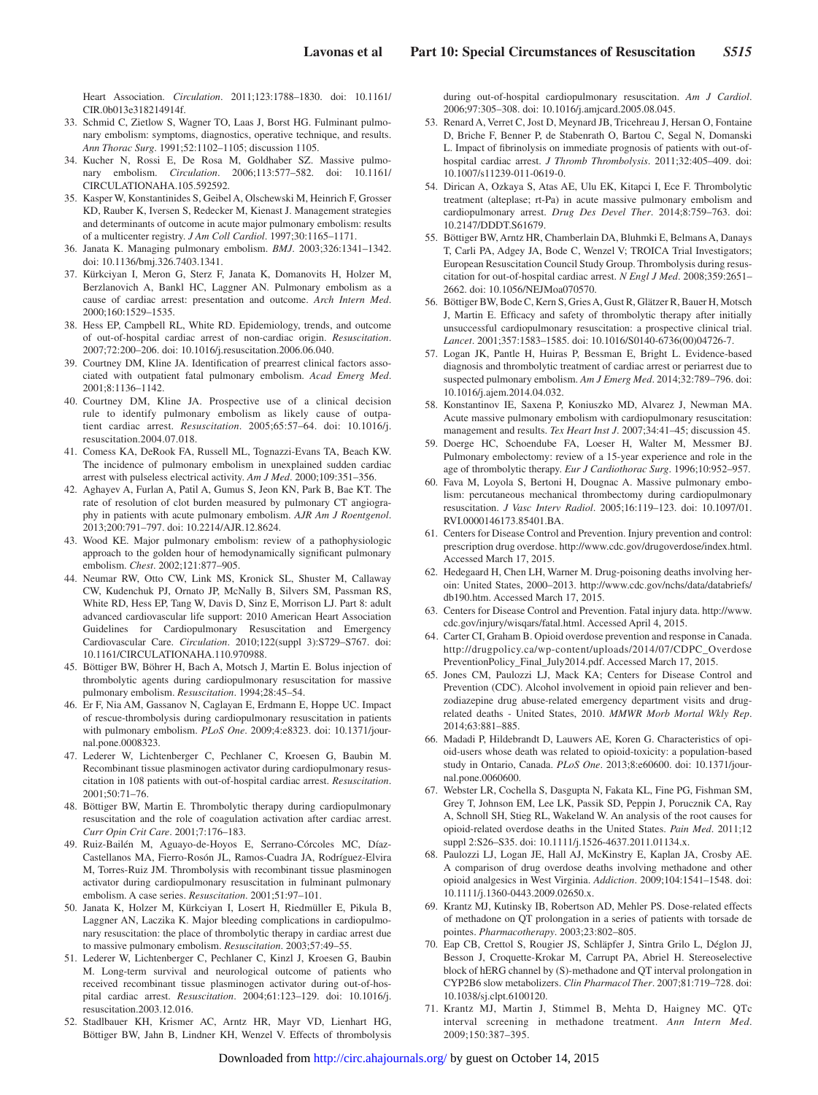Heart Association. *Circulation*. 2011;123:1788–1830. doi: 10.1161/ CIR.0b013e318214914f.

- 33. Schmid C, Zietlow S, Wagner TO, Laas J, Borst HG. Fulminant pulmonary embolism: symptoms, diagnostics, operative technique, and results. *Ann Thorac Surg*. 1991;52:1102–1105; discussion 1105.
- 34. Kucher N, Rossi E, De Rosa M, Goldhaber SZ. Massive pulmonary embolism. *Circulation*. 2006;113:577–582. doi: 10.1161/ CIRCULATIONAHA.105.592592.
- 35. Kasper W, Konstantinides S, Geibel A, Olschewski M, Heinrich F, Grosser KD, Rauber K, Iversen S, Redecker M, Kienast J. Management strategies and determinants of outcome in acute major pulmonary embolism: results of a multicenter registry. *J Am Coll Cardiol*. 1997;30:1165–1171.
- 36. Janata K. Managing pulmonary embolism. *BMJ*. 2003;326:1341–1342. doi: 10.1136/bmj.326.7403.1341.
- 37. Kürkciyan I, Meron G, Sterz F, Janata K, Domanovits H, Holzer M, Berzlanovich A, Bankl HC, Laggner AN. Pulmonary embolism as a cause of cardiac arrest: presentation and outcome. *Arch Intern Med*. 2000;160:1529–1535.
- 38. Hess EP, Campbell RL, White RD. Epidemiology, trends, and outcome of out-of-hospital cardiac arrest of non-cardiac origin. *Resuscitation*. 2007;72:200–206. doi: 10.1016/j.resuscitation.2006.06.040.
- 39. Courtney DM, Kline JA. Identification of prearrest clinical factors associated with outpatient fatal pulmonary embolism. *Acad Emerg Med*. 2001;8:1136–1142.
- 40. Courtney DM, Kline JA. Prospective use of a clinical decision rule to identify pulmonary embolism as likely cause of outpatient cardiac arrest. *Resuscitation*. 2005;65:57–64. doi: 10.1016/j. resuscitation.2004.07.018.
- 41. Comess KA, DeRook FA, Russell ML, Tognazzi-Evans TA, Beach KW. The incidence of pulmonary embolism in unexplained sudden cardiac arrest with pulseless electrical activity. *Am J Med*. 2000;109:351–356.
- 42. Aghayev A, Furlan A, Patil A, Gumus S, Jeon KN, Park B, Bae KT. The rate of resolution of clot burden measured by pulmonary CT angiography in patients with acute pulmonary embolism. *AJR Am J Roentgenol*. 2013;200:791–797. doi: 10.2214/AJR.12.8624.
- 43. Wood KE. Major pulmonary embolism: review of a pathophysiologic approach to the golden hour of hemodynamically significant pulmonary embolism. *Chest*. 2002;121:877–905.
- 44. Neumar RW, Otto CW, Link MS, Kronick SL, Shuster M, Callaway CW, Kudenchuk PJ, Ornato JP, McNally B, Silvers SM, Passman RS, White RD, Hess EP, Tang W, Davis D, Sinz E, Morrison LJ. Part 8: adult advanced cardiovascular life support: 2010 American Heart Association Guidelines for Cardiopulmonary Resuscitation and Emergency Cardiovascular Care. *Circulation*. 2010;122(suppl 3):S729–S767. doi: 10.1161/CIRCULATIONAHA.110.970988.
- 45. Böttiger BW, Böhrer H, Bach A, Motsch J, Martin E. Bolus injection of thrombolytic agents during cardiopulmonary resuscitation for massive pulmonary embolism. *Resuscitation*. 1994;28:45–54.
- 46. Er F, Nia AM, Gassanov N, Caglayan E, Erdmann E, Hoppe UC. Impact of rescue-thrombolysis during cardiopulmonary resuscitation in patients with pulmonary embolism. *PLoS One*. 2009;4:e8323. doi: 10.1371/journal.pone.0008323.
- 47. Lederer W, Lichtenberger C, Pechlaner C, Kroesen G, Baubin M. Recombinant tissue plasminogen activator during cardiopulmonary resuscitation in 108 patients with out-of-hospital cardiac arrest. *Resuscitation*. 2001;50:71–76.
- 48. Böttiger BW, Martin E. Thrombolytic therapy during cardiopulmonary resuscitation and the role of coagulation activation after cardiac arrest. *Curr Opin Crit Care*. 2001;7:176–183.
- 49. Ruiz-Bailén M, Aguayo-de-Hoyos E, Serrano-Córcoles MC, Díaz-Castellanos MA, Fierro-Rosón JL, Ramos-Cuadra JA, Rodríguez-Elvira M, Torres-Ruiz JM. Thrombolysis with recombinant tissue plasminogen activator during cardiopulmonary resuscitation in fulminant pulmonary embolism. A case series. *Resuscitation*. 2001;51:97–101.
- 50. Janata K, Holzer M, Kürkciyan I, Losert H, Riedmüller E, Pikula B, Laggner AN, Laczika K. Major bleeding complications in cardiopulmonary resuscitation: the place of thrombolytic therapy in cardiac arrest due to massive pulmonary embolism. *Resuscitation*. 2003;57:49–55.
- 51. Lederer W, Lichtenberger C, Pechlaner C, Kinzl J, Kroesen G, Baubin M. Long-term survival and neurological outcome of patients who received recombinant tissue plasminogen activator during out-of-hospital cardiac arrest. *Resuscitation*. 2004;61:123–129. doi: 10.1016/j. resuscitation.2003.12.016.
- 52. Stadlbauer KH, Krismer AC, Arntz HR, Mayr VD, Lienhart HG, Böttiger BW, Jahn B, Lindner KH, Wenzel V. Effects of thrombolysis

during out-of-hospital cardiopulmonary resuscitation. *Am J Cardiol*. 2006;97:305–308. doi: 10.1016/j.amjcard.2005.08.045.

- 53. Renard A, Verret C, Jost D, Meynard JB, Tricehreau J, Hersan O, Fontaine D, Briche F, Benner P, de Stabenrath O, Bartou C, Segal N, Domanski L. Impact of fibrinolysis on immediate prognosis of patients with out-ofhospital cardiac arrest. *J Thromb Thrombolysis*. 2011;32:405–409. doi: 10.1007/s11239-011-0619-0.
- 54. Dirican A, Ozkaya S, Atas AE, Ulu EK, Kitapci I, Ece F. Thrombolytic treatment (alteplase; rt-Pa) in acute massive pulmonary embolism and cardiopulmonary arrest. *Drug Des Devel Ther*. 2014;8:759–763. doi: 10.2147/DDDT.S61679.
- 55. Böttiger BW, Arntz HR, Chamberlain DA, Bluhmki E, Belmans A, Danays T, Carli PA, Adgey JA, Bode C, Wenzel V; TROICA Trial Investigators; European Resuscitation Council Study Group. Thrombolysis during resuscitation for out-of-hospital cardiac arrest. *N Engl J Med*. 2008;359:2651– 2662. doi: 10.1056/NEJMoa070570.
- 56. Böttiger BW, Bode C, Kern S, Gries A, Gust R, Glätzer R, Bauer H, Motsch J, Martin E. Efficacy and safety of thrombolytic therapy after initially unsuccessful cardiopulmonary resuscitation: a prospective clinical trial. *Lancet*. 2001;357:1583–1585. doi: 10.1016/S0140-6736(00)04726-7.
- 57. Logan JK, Pantle H, Huiras P, Bessman E, Bright L. Evidence-based diagnosis and thrombolytic treatment of cardiac arrest or periarrest due to suspected pulmonary embolism. *Am J Emerg Med*. 2014;32:789–796. doi: 10.1016/j.ajem.2014.04.032.
- 58. Konstantinov IE, Saxena P, Koniuszko MD, Alvarez J, Newman MA. Acute massive pulmonary embolism with cardiopulmonary resuscitation: management and results. *Tex Heart Inst J*. 2007;34:41–45; discussion 45.
- 59. Doerge HC, Schoendube FA, Loeser H, Walter M, Messmer BJ. Pulmonary embolectomy: review of a 15-year experience and role in the age of thrombolytic therapy. *Eur J Cardiothorac Surg*. 1996;10:952–957.
- 60. Fava M, Loyola S, Bertoni H, Dougnac A. Massive pulmonary embolism: percutaneous mechanical thrombectomy during cardiopulmonary resuscitation. *J Vasc Interv Radiol*. 2005;16:119–123. doi: 10.1097/01. RVI.0000146173.85401.BA.
- 61. Centers for Disease Control and Prevention. Injury prevention and control: prescription drug overdose.<http://www.cdc.gov/drugoverdose/index.html>. Accessed March 17, 2015.
- 62. Hedegaard H, Chen LH, Warner M. Drug-poisoning deaths involving heroin: United States, 2000–2013. [http://www.cdc.gov/nchs/data/databriefs/](http://www.cdc.gov/nchs/data/databriefs/db190.htm) [db190.htm.](http://www.cdc.gov/nchs/data/databriefs/db190.htm) Accessed March 17, 2015.
- 63. Centers for Disease Control and Prevention. Fatal injury data. [http://www.](http://www.cdc.gov/injury/wisqars/fatal.html) [cdc.gov/injury/wisqars/fatal.html.](http://www.cdc.gov/injury/wisqars/fatal.html) Accessed April 4, 2015.
- 64. Carter CI, Graham B. Opioid overdose prevention and response in Canada. [http://drugpolicy.ca/wp-content/uploads/2014/07/CDPC\\_Overdose](http://www.drugpolicy.ca/wp-content/uploads/2014/07/CDPC_OverdosePreventionPolicy_Final_July2014.pdf) [PreventionPolicy\\_Final\\_July2014.pdf.](http://www.drugpolicy.ca/wp-content/uploads/2014/07/CDPC_OverdosePreventionPolicy_Final_July2014.pdf) Accessed March 17, 2015.
- 65. Jones CM, Paulozzi LJ, Mack KA; Centers for Disease Control and Prevention (CDC). Alcohol involvement in opioid pain reliever and benzodiazepine drug abuse-related emergency department visits and drugrelated deaths - United States, 2010. *MMWR Morb Mortal Wkly Rep*. 2014;63:881–885.
- 66. Madadi P, Hildebrandt D, Lauwers AE, Koren G. Characteristics of opioid-users whose death was related to opioid-toxicity: a population-based study in Ontario, Canada. *PLoS One*. 2013;8:e60600. doi: 10.1371/journal.pone.0060600.
- 67. Webster LR, Cochella S, Dasgupta N, Fakata KL, Fine PG, Fishman SM, Grey T, Johnson EM, Lee LK, Passik SD, Peppin J, Porucznik CA, Ray A, Schnoll SH, Stieg RL, Wakeland W. An analysis of the root causes for opioid-related overdose deaths in the United States. *Pain Med*. 2011;12 suppl 2:S26–S35. doi: 10.1111/j.1526-4637.2011.01134.x.
- 68. Paulozzi LJ, Logan JE, Hall AJ, McKinstry E, Kaplan JA, Crosby AE. A comparison of drug overdose deaths involving methadone and other opioid analgesics in West Virginia. *Addiction*. 2009;104:1541–1548. doi: 10.1111/j.1360-0443.2009.02650.x.
- 69. Krantz MJ, Kutinsky IB, Robertson AD, Mehler PS. Dose-related effects of methadone on QT prolongation in a series of patients with torsade de pointes. *Pharmacotherapy*. 2003;23:802–805.
- 70. Eap CB, Crettol S, Rougier JS, Schläpfer J, Sintra Grilo L, Déglon JJ, Besson J, Croquette-Krokar M, Carrupt PA, Abriel H. Stereoselective block of hERG channel by (S)-methadone and QT interval prolongation in CYP2B6 slow metabolizers. *Clin Pharmacol Ther*. 2007;81:719–728. doi: 10.1038/sj.clpt.6100120.
- 71. Krantz MJ, Martin J, Stimmel B, Mehta D, Haigney MC. QTc interval screening in methadone treatment. *Ann Intern Med*. 2009;150:387–395.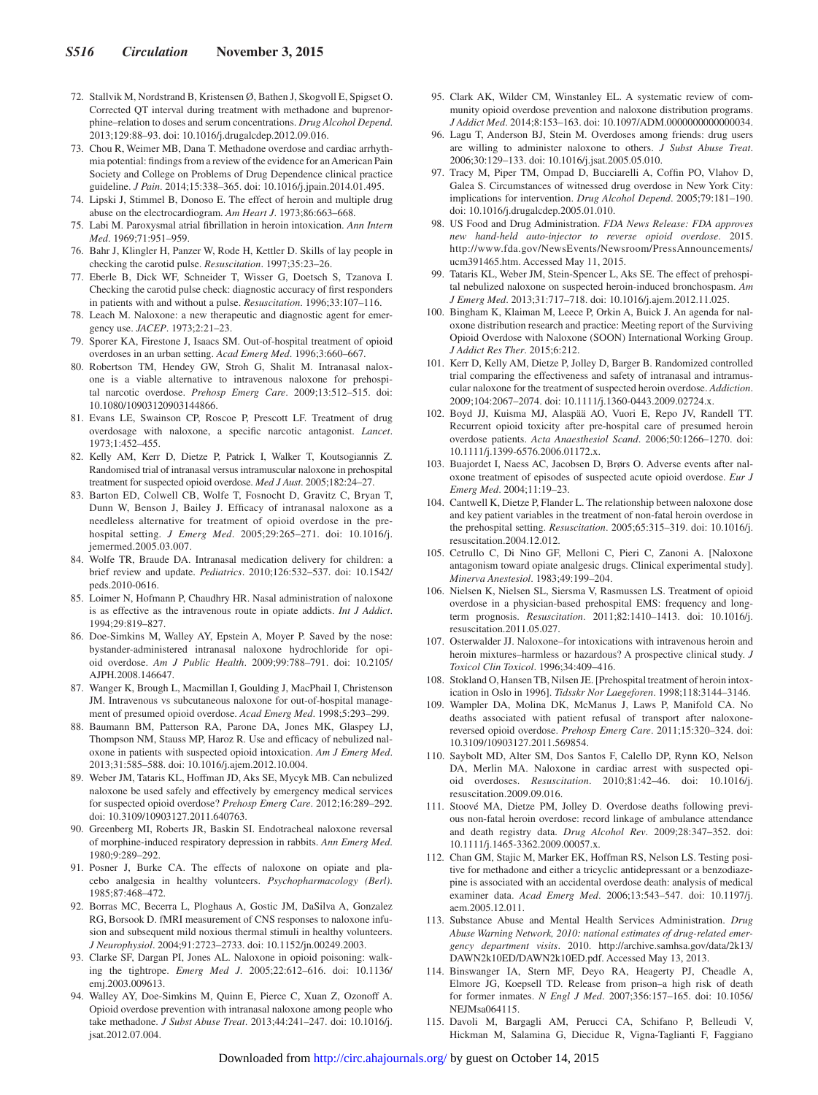- 72. Stallvik M, Nordstrand B, Kristensen Ø, Bathen J, Skogvoll E, Spigset O. Corrected QT interval during treatment with methadone and buprenorphine–relation to doses and serum concentrations. *Drug Alcohol Depend*. 2013;129:88–93. doi: 10.1016/j.drugalcdep.2012.09.016.
- 73. Chou R, Weimer MB, Dana T. Methadone overdose and cardiac arrhythmia potential: findings from a review of the evidence for an American Pain Society and College on Problems of Drug Dependence clinical practice guideline. *J Pain*. 2014;15:338–365. doi: 10.1016/j.jpain.2014.01.495.
- 74. Lipski J, Stimmel B, Donoso E. The effect of heroin and multiple drug abuse on the electrocardiogram. *Am Heart J*. 1973;86:663–668.
- 75. Labi M. Paroxysmal atrial fibrillation in heroin intoxication. *Ann Intern Med*. 1969;71:951–959.
- 76. Bahr J, Klingler H, Panzer W, Rode H, Kettler D. Skills of lay people in checking the carotid pulse. *Resuscitation*. 1997;35:23–26.
- 77. Eberle B, Dick WF, Schneider T, Wisser G, Doetsch S, Tzanova I. Checking the carotid pulse check: diagnostic accuracy of first responders in patients with and without a pulse. *Resuscitation*. 1996;33:107–116.
- 78. Leach M. Naloxone: a new therapeutic and diagnostic agent for emergency use. *JACEP*. 1973;2:21–23.
- 79. Sporer KA, Firestone J, Isaacs SM. Out-of-hospital treatment of opioid overdoses in an urban setting. *Acad Emerg Med*. 1996;3:660–667.
- 80. Robertson TM, Hendey GW, Stroh G, Shalit M. Intranasal naloxone is a viable alternative to intravenous naloxone for prehospital narcotic overdose. *Prehosp Emerg Care*. 2009;13:512–515. doi: 10.1080/10903120903144866.
- 81. Evans LE, Swainson CP, Roscoe P, Prescott LF. Treatment of drug overdosage with naloxone, a specific narcotic antagonist. *Lancet*. 1973;1:452–455.
- 82. Kelly AM, Kerr D, Dietze P, Patrick I, Walker T, Koutsogiannis Z. Randomised trial of intranasal versus intramuscular naloxone in prehospital treatment for suspected opioid overdose. *Med J Aust*. 2005;182:24–27.
- 83. Barton ED, Colwell CB, Wolfe T, Fosnocht D, Gravitz C, Bryan T, Dunn W, Benson J, Bailey J. Efficacy of intranasal naloxone as a needleless alternative for treatment of opioid overdose in the prehospital setting. *J Emerg Med*. 2005;29:265–271. doi: 10.1016/j. jemermed.2005.03.007.
- 84. Wolfe TR, Braude DA. Intranasal medication delivery for children: a brief review and update. *Pediatrics*. 2010;126:532–537. doi: 10.1542/ peds.2010-0616.
- 85. Loimer N, Hofmann P, Chaudhry HR. Nasal administration of naloxone is as effective as the intravenous route in opiate addicts. *Int J Addict*. 1994;29:819–827.
- 86. Doe-Simkins M, Walley AY, Epstein A, Moyer P. Saved by the nose: bystander-administered intranasal naloxone hydrochloride for opioid overdose. *Am J Public Health*. 2009;99:788–791. doi: 10.2105/ AJPH.2008.146647.
- 87. Wanger K, Brough L, Macmillan I, Goulding J, MacPhail I, Christenson JM. Intravenous vs subcutaneous naloxone for out-of-hospital management of presumed opioid overdose. *Acad Emerg Med*. 1998;5:293–299.
- 88. Baumann BM, Patterson RA, Parone DA, Jones MK, Glaspey LJ, Thompson NM, Stauss MP, Haroz R. Use and efficacy of nebulized naloxone in patients with suspected opioid intoxication. *Am J Emerg Med*. 2013;31:585–588. doi: 10.1016/j.ajem.2012.10.004.
- 89. Weber JM, Tataris KL, Hoffman JD, Aks SE, Mycyk MB. Can nebulized naloxone be used safely and effectively by emergency medical services for suspected opioid overdose? *Prehosp Emerg Care*. 2012;16:289–292. doi: 10.3109/10903127.2011.640763.
- 90. Greenberg MI, Roberts JR, Baskin SI. Endotracheal naloxone reversal of morphine-induced respiratory depression in rabbits. *Ann Emerg Med*. 1980;9:289–292.
- 91. Posner J, Burke CA. The effects of naloxone on opiate and placebo analgesia in healthy volunteers. *Psychopharmacology (Berl)*. 1985;87:468–472.
- 92. Borras MC, Becerra L, Ploghaus A, Gostic JM, DaSilva A, Gonzalez RG, Borsook D. fMRI measurement of CNS responses to naloxone infusion and subsequent mild noxious thermal stimuli in healthy volunteers. *J Neurophysiol*. 2004;91:2723–2733. doi: 10.1152/jn.00249.2003.
- 93. Clarke SF, Dargan PI, Jones AL. Naloxone in opioid poisoning: walking the tightrope. *Emerg Med J*. 2005;22:612–616. doi: 10.1136/ emj.2003.009613.
- 94. Walley AY, Doe-Simkins M, Quinn E, Pierce C, Xuan Z, Ozonoff A. Opioid overdose prevention with intranasal naloxone among people who take methadone. *J Subst Abuse Treat*. 2013;44:241–247. doi: 10.1016/j. jsat.2012.07.004.
- 95. Clark AK, Wilder CM, Winstanley EL. A systematic review of community opioid overdose prevention and naloxone distribution programs. *J Addict Med*. 2014;8:153–163. doi: 10.1097/ADM.0000000000000034.
- 96. Lagu T, Anderson BJ, Stein M. Overdoses among friends: drug users are willing to administer naloxone to others. *J Subst Abuse Treat*. 2006;30:129–133. doi: 10.1016/j.jsat.2005.05.010.
- 97. Tracy M, Piper TM, Ompad D, Bucciarelli A, Coffin PO, Vlahov D, Galea S. Circumstances of witnessed drug overdose in New York City: implications for intervention. *Drug Alcohol Depend*. 2005;79:181–190. doi: 10.1016/j.drugalcdep.2005.01.010.
- 98. US Food and Drug Administration. *FDA News Release: FDA approves new hand-held auto-injector to reverse opioid overdose*. 2015. [http://www.fda.gov/NewsEvents/Newsroom/PressAnnouncements/](http://www.fda.gov/NewsEvents/Newsroom/PressAnnouncements/ucm391465.htm) [ucm391465.htm.](http://www.fda.gov/NewsEvents/Newsroom/PressAnnouncements/ucm391465.htm) Accessed May 11, 2015.
- 99. Tataris KL, Weber JM, Stein-Spencer L, Aks SE. The effect of prehospital nebulized naloxone on suspected heroin-induced bronchospasm. *Am J Emerg Med*. 2013;31:717–718. doi: 10.1016/j.ajem.2012.11.025.
- 100. Bingham K, Klaiman M, Leece P, Orkin A, Buick J. An agenda for naloxone distribution research and practice: Meeting report of the Surviving Opioid Overdose with Naloxone (SOON) International Working Group. *J Addict Res Ther*. 2015;6:212.
- 101. Kerr D, Kelly AM, Dietze P, Jolley D, Barger B. Randomized controlled trial comparing the effectiveness and safety of intranasal and intramuscular naloxone for the treatment of suspected heroin overdose. *Addiction*. 2009;104:2067–2074. doi: 10.1111/j.1360-0443.2009.02724.x.
- 102. Boyd JJ, Kuisma MJ, Alaspää AO, Vuori E, Repo JV, Randell TT. Recurrent opioid toxicity after pre-hospital care of presumed heroin overdose patients. *Acta Anaesthesiol Scand*. 2006;50:1266–1270. doi: 10.1111/j.1399-6576.2006.01172.x.
- 103. Buajordet I, Naess AC, Jacobsen D, Brørs O. Adverse events after naloxone treatment of episodes of suspected acute opioid overdose. *Eur J Emerg Med*. 2004;11:19–23.
- 104. Cantwell K, Dietze P, Flander L. The relationship between naloxone dose and key patient variables in the treatment of non-fatal heroin overdose in the prehospital setting. *Resuscitation*. 2005;65:315–319. doi: 10.1016/j. resuscitation.2004.12.012.
- 105. Cetrullo C, Di Nino GF, Melloni C, Pieri C, Zanoni A. [Naloxone antagonism toward opiate analgesic drugs. Clinical experimental study]. *Minerva Anestesiol*. 1983;49:199–204.
- 106. Nielsen K, Nielsen SL, Siersma V, Rasmussen LS. Treatment of opioid overdose in a physician-based prehospital EMS: frequency and longterm prognosis. *Resuscitation*. 2011;82:1410–1413. doi: 10.1016/j. resuscitation.2011.05.027.
- 107. Osterwalder JJ. Naloxone–for intoxications with intravenous heroin and heroin mixtures–harmless or hazardous? A prospective clinical study. *J Toxicol Clin Toxicol*. 1996;34:409–416.
- 108. Stokland O, Hansen TB, Nilsen JE. [Prehospital treatment of heroin intoxication in Oslo in 1996]. *Tidsskr Nor Laegeforen*. 1998;118:3144–3146.
- 109. Wampler DA, Molina DK, McManus J, Laws P, Manifold CA. No deaths associated with patient refusal of transport after naloxonereversed opioid overdose. *Prehosp Emerg Care*. 2011;15:320–324. doi: 10.3109/10903127.2011.569854.
- 110. Saybolt MD, Alter SM, Dos Santos F, Calello DP, Rynn KO, Nelson DA, Merlin MA. Naloxone in cardiac arrest with suspected opioid overdoses. *Resuscitation*. 2010;81:42–46. doi: 10.1016/j. resuscitation.2009.09.016.
- 111. Stoové MA, Dietze PM, Jolley D. Overdose deaths following previous non-fatal heroin overdose: record linkage of ambulance attendance and death registry data. *Drug Alcohol Rev*. 2009;28:347–352. doi: 10.1111/j.1465-3362.2009.00057.x.
- 112. Chan GM, Stajic M, Marker EK, Hoffman RS, Nelson LS. Testing positive for methadone and either a tricyclic antidepressant or a benzodiazepine is associated with an accidental overdose death: analysis of medical examiner data. *Acad Emerg Med*. 2006;13:543–547. doi: 10.1197/j. aem.2005.12.011.
- 113. Substance Abuse and Mental Health Services Administration. *Drug Abuse Warning Network, 2010: national estimates of drug-related emergency department visits*. 2010. [http://archive.samhsa.gov/data/2k13/](http://www.archive.samhsa.gov/data/2k13/DAWN2k10ED/DAWN2k10ED.pdf) [DAWN2k10ED/DAWN2k10ED.pdf.](http://www.archive.samhsa.gov/data/2k13/DAWN2k10ED/DAWN2k10ED.pdf) Accessed May 13, 2013.
- 114. Binswanger IA, Stern MF, Deyo RA, Heagerty PJ, Cheadle A, Elmore JG, Koepsell TD. Release from prison–a high risk of death for former inmates. *N Engl J Med*. 2007;356:157–165. doi: 10.1056/ NEJMsa064115.
- 115. Davoli M, Bargagli AM, Perucci CA, Schifano P, Belleudi V, Hickman M, Salamina G, Diecidue R, Vigna-Taglianti F, Faggiano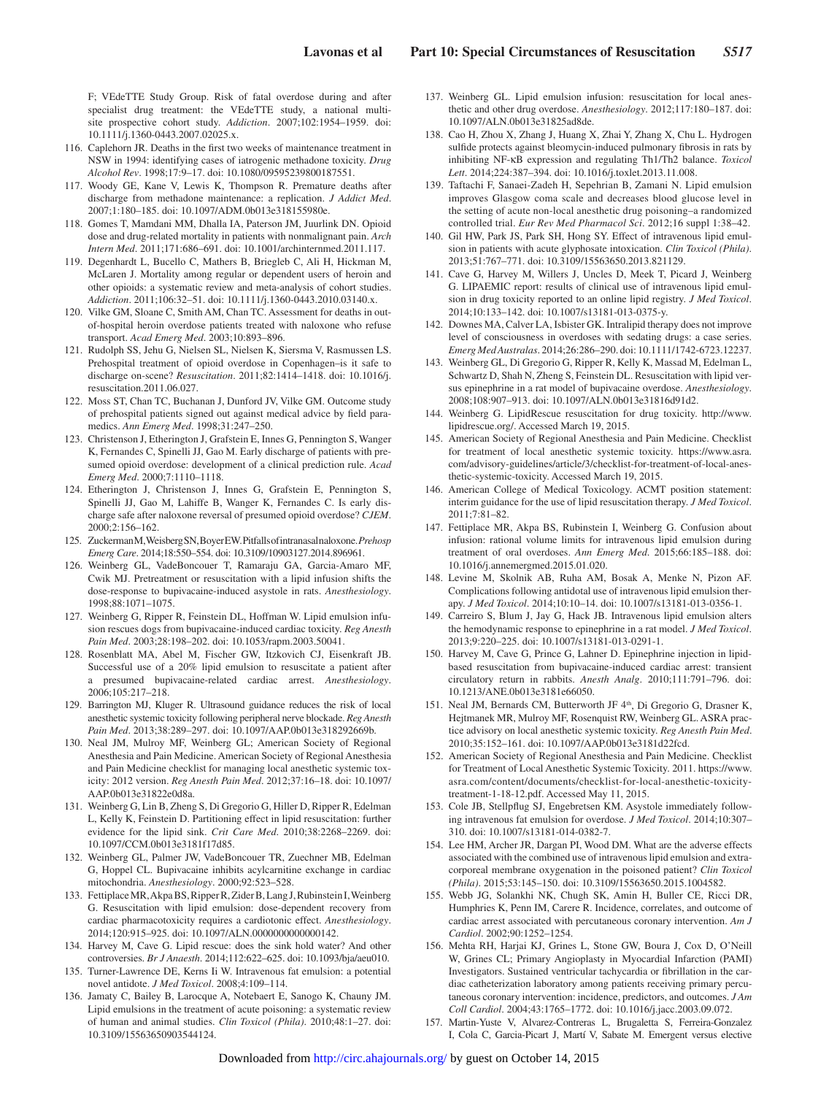F; VEdeTTE Study Group. Risk of fatal overdose during and after specialist drug treatment: the VEdeTTE study, a national multisite prospective cohort study. *Addiction*. 2007;102:1954–1959. doi: 10.1111/j.1360-0443.2007.02025.x.

- 116. Caplehorn JR. Deaths in the first two weeks of maintenance treatment in NSW in 1994: identifying cases of iatrogenic methadone toxicity. *Drug Alcohol Rev*. 1998;17:9–17. doi: 10.1080/09595239800187551.
- 117. Woody GE, Kane V, Lewis K, Thompson R. Premature deaths after discharge from methadone maintenance: a replication. *J Addict Med*. 2007;1:180–185. doi: 10.1097/ADM.0b013e318155980e.
- 118. Gomes T, Mamdani MM, Dhalla IA, Paterson JM, Juurlink DN. Opioid dose and drug-related mortality in patients with nonmalignant pain. *Arch Intern Med*. 2011;171:686–691. doi: 10.1001/archinternmed.2011.117.
- 119. Degenhardt L, Bucello C, Mathers B, Briegleb C, Ali H, Hickman M, McLaren J. Mortality among regular or dependent users of heroin and other opioids: a systematic review and meta-analysis of cohort studies. *Addiction*. 2011;106:32–51. doi: 10.1111/j.1360-0443.2010.03140.x.
- 120. Vilke GM, Sloane C, Smith AM, Chan TC. Assessment for deaths in outof-hospital heroin overdose patients treated with naloxone who refuse transport. *Acad Emerg Med*. 2003;10:893–896.
- 121. Rudolph SS, Jehu G, Nielsen SL, Nielsen K, Siersma V, Rasmussen LS. Prehospital treatment of opioid overdose in Copenhagen–is it safe to discharge on-scene? *Resuscitation*. 2011;82:1414–1418. doi: 10.1016/j. resuscitation.2011.06.027.
- 122. Moss ST, Chan TC, Buchanan J, Dunford JV, Vilke GM. Outcome study of prehospital patients signed out against medical advice by field paramedics. *Ann Emerg Med*. 1998;31:247–250.
- 123. Christenson J, Etherington J, Grafstein E, Innes G, Pennington S, Wanger K, Fernandes C, Spinelli JJ, Gao M. Early discharge of patients with presumed opioid overdose: development of a clinical prediction rule. *Acad Emerg Med*. 2000;7:1110–1118.
- 124. Etherington J, Christenson J, Innes G, Grafstein E, Pennington S, Spinelli JJ, Gao M, Lahiffe B, Wanger K, Fernandes C. Is early discharge safe after naloxone reversal of presumed opioid overdose? *CJEM*. 2000;2:156–162.
- 125. Zuckerman M, Weisberg SN, Boyer EW. Pitfalls of intranasal naloxone. *Prehosp Emerg Care*. 2014;18:550–554. doi: 10.3109/10903127.2014.896961.
- 126. Weinberg GL, VadeBoncouer T, Ramaraju GA, Garcia-Amaro MF, Cwik MJ. Pretreatment or resuscitation with a lipid infusion shifts the dose-response to bupivacaine-induced asystole in rats. *Anesthesiology*. 1998;88:1071–1075.
- 127. Weinberg G, Ripper R, Feinstein DL, Hoffman W. Lipid emulsion infusion rescues dogs from bupivacaine-induced cardiac toxicity. *Reg Anesth Pain Med*. 2003;28:198–202. doi: 10.1053/rapm.2003.50041.
- 128. Rosenblatt MA, Abel M, Fischer GW, Itzkovich CJ, Eisenkraft JB. Successful use of a 20% lipid emulsion to resuscitate a patient after a presumed bupivacaine-related cardiac arrest. *Anesthesiology*. 2006;105:217–218.
- 129. Barrington MJ, Kluger R. Ultrasound guidance reduces the risk of local anesthetic systemic toxicity following peripheral nerve blockade. *Reg Anesth Pain Med*. 2013;38:289–297. doi: 10.1097/AAP.0b013e318292669b.
- 130. Neal JM, Mulroy MF, Weinberg GL; American Society of Regional Anesthesia and Pain Medicine. American Society of Regional Anesthesia and Pain Medicine checklist for managing local anesthetic systemic toxicity: 2012 version. *Reg Anesth Pain Med*. 2012;37:16–18. doi: 10.1097/ AAP.0b013e31822e0d8a.
- 131. Weinberg G, Lin B, Zheng S, Di Gregorio G, Hiller D, Ripper R, Edelman L, Kelly K, Feinstein D. Partitioning effect in lipid resuscitation: further evidence for the lipid sink. *Crit Care Med*. 2010;38:2268–2269. doi: 10.1097/CCM.0b013e3181f17d85.
- 132. Weinberg GL, Palmer JW, VadeBoncouer TR, Zuechner MB, Edelman G, Hoppel CL. Bupivacaine inhibits acylcarnitine exchange in cardiac mitochondria. *Anesthesiology*. 2000;92:523–528.
- 133. Fettiplace MR, Akpa BS, Ripper R, Zider B, Lang J, Rubinstein I, Weinberg G. Resuscitation with lipid emulsion: dose-dependent recovery from cardiac pharmacotoxicity requires a cardiotonic effect. *Anesthesiology*. 2014;120:915–925. doi: 10.1097/ALN.0000000000000142.
- 134. Harvey M, Cave G. Lipid rescue: does the sink hold water? And other controversies. *Br J Anaesth*. 2014;112:622–625. doi: 10.1093/bja/aeu010.
- 135. Turner-Lawrence DE, Kerns Ii W. Intravenous fat emulsion: a potential novel antidote. *J Med Toxicol*. 2008;4:109–114.
- 136. Jamaty C, Bailey B, Larocque A, Notebaert E, Sanogo K, Chauny JM. Lipid emulsions in the treatment of acute poisoning: a systematic review of human and animal studies. *Clin Toxicol (Phila)*. 2010;48:1–27. doi: 10.3109/15563650903544124.
- 137. Weinberg GL. Lipid emulsion infusion: resuscitation for local anesthetic and other drug overdose. *Anesthesiology*. 2012;117:180–187. doi: 10.1097/ALN.0b013e31825ad8de.
- 138. Cao H, Zhou X, Zhang J, Huang X, Zhai Y, Zhang X, Chu L. Hydrogen sulfide protects against bleomycin-induced pulmonary fibrosis in rats by inhibiting NF-κB expression and regulating Th1/Th2 balance. *Toxicol Lett*. 2014;224:387–394. doi: 10.1016/j.toxlet.2013.11.008.
- 139. Taftachi F, Sanaei-Zadeh H, Sepehrian B, Zamani N. Lipid emulsion improves Glasgow coma scale and decreases blood glucose level in the setting of acute non-local anesthetic drug poisoning–a randomized controlled trial. *Eur Rev Med Pharmacol Sci*. 2012;16 suppl 1:38–42.
- 140. Gil HW, Park JS, Park SH, Hong SY. Effect of intravenous lipid emulsion in patients with acute glyphosate intoxication. *Clin Toxicol (Phila)*. 2013;51:767–771. doi: 10.3109/15563650.2013.821129.
- 141. Cave G, Harvey M, Willers J, Uncles D, Meek T, Picard J, Weinberg G. LIPAEMIC report: results of clinical use of intravenous lipid emulsion in drug toxicity reported to an online lipid registry. *J Med Toxicol*. 2014;10:133–142. doi: 10.1007/s13181-013-0375-y.
- 142. Downes MA, Calver LA, Isbister GK. Intralipid therapy does not improve level of consciousness in overdoses with sedating drugs: a case series. *Emerg Med Australas*. 2014;26:286–290. doi: 10.1111/1742-6723.12237.
- 143. Weinberg GL, Di Gregorio G, Ripper R, Kelly K, Massad M, Edelman L, Schwartz D, Shah N, Zheng S, Feinstein DL. Resuscitation with lipid versus epinephrine in a rat model of bupivacaine overdose. *Anesthesiology*. 2008;108:907–913. doi: 10.1097/ALN.0b013e31816d91d2.
- 144. Weinberg G. LipidRescue resuscitation for drug toxicity. [http://www.](http://www.lipidrescue.org/) [lipidrescue.org/.](http://www.lipidrescue.org/) Accessed March 19, 2015.
- 145. American Society of Regional Anesthesia and Pain Medicine. Checklist for treatment of local anesthetic systemic toxicity. [https://www.asra.](http://www.asra.com/advisory-guidelines/article/3/checklist-for-treatment-of-local-anesthetic-systemic-toxicity) [com/advisory-guidelines/article/3/checklist-for-treatment-of-local-anes](http://www.asra.com/advisory-guidelines/article/3/checklist-for-treatment-of-local-anesthetic-systemic-toxicity)[thetic-systemic-toxicity](http://www.asra.com/advisory-guidelines/article/3/checklist-for-treatment-of-local-anesthetic-systemic-toxicity). Accessed March 19, 2015.
- 146. American College of Medical Toxicology. ACMT position statement: interim guidance for the use of lipid resuscitation therapy. *J Med Toxicol*. 2011;7:81–82.
- 147. Fettiplace MR, Akpa BS, Rubinstein I, Weinberg G. Confusion about infusion: rational volume limits for intravenous lipid emulsion during treatment of oral overdoses. *Ann Emerg Med*. 2015;66:185–188. doi: 10.1016/j.annemergmed.2015.01.020.
- 148. Levine M, Skolnik AB, Ruha AM, Bosak A, Menke N, Pizon AF. Complications following antidotal use of intravenous lipid emulsion therapy. *J Med Toxicol*. 2014;10:10–14. doi: 10.1007/s13181-013-0356-1.
- 149. Carreiro S, Blum J, Jay G, Hack JB. Intravenous lipid emulsion alters the hemodynamic response to epinephrine in a rat model. *J Med Toxicol*. 2013;9:220–225. doi: 10.1007/s13181-013-0291-1.
- 150. Harvey M, Cave G, Prince G, Lahner D. Epinephrine injection in lipidbased resuscitation from bupivacaine-induced cardiac arrest: transient circulatory return in rabbits. *Anesth Analg*. 2010;111:791–796. doi: 10.1213/ANE.0b013e3181e66050.
- 151. Neal JM, Bernards CM, Butterworth JF 4<sup>th</sup>, Di Gregorio G, Drasner K, Hejtmanek MR, Mulroy MF, Rosenquist RW, Weinberg GL. ASRA practice advisory on local anesthetic systemic toxicity. *Reg Anesth Pain Med*. 2010;35:152–161. doi: 10.1097/AAP.0b013e3181d22fcd.
- 152. American Society of Regional Anesthesia and Pain Medicine. Checklist for Treatment of Local Anesthetic Systemic Toxicity. 2011. [https://www.](http://www.asra.com/content/documents/checklist-for-local-anesthetic-toxicity-treatment-1-18-12.pdf) [asra.com/content/documents/checklist-for-local-anesthetic-toxicity](http://www.asra.com/content/documents/checklist-for-local-anesthetic-toxicity-treatment-1-18-12.pdf)[treatment-1-18-12.pdf](http://www.asra.com/content/documents/checklist-for-local-anesthetic-toxicity-treatment-1-18-12.pdf). Accessed May 11, 2015.
- 153. Cole JB, Stellpflug SJ, Engebretsen KM. Asystole immediately following intravenous fat emulsion for overdose. *J Med Toxicol*. 2014;10:307– 310. doi: 10.1007/s13181-014-0382-7.
- 154. Lee HM, Archer JR, Dargan PI, Wood DM. What are the adverse effects associated with the combined use of intravenous lipid emulsion and extracorporeal membrane oxygenation in the poisoned patient? *Clin Toxicol (Phila)*. 2015;53:145–150. doi: 10.3109/15563650.2015.1004582.
- 155. Webb JG, Solankhi NK, Chugh SK, Amin H, Buller CE, Ricci DR, Humphries K, Penn IM, Carere R. Incidence, correlates, and outcome of cardiac arrest associated with percutaneous coronary intervention. *Am J Cardiol*. 2002;90:1252–1254.
- 156. Mehta RH, Harjai KJ, Grines L, Stone GW, Boura J, Cox D, O'Neill W, Grines CL; Primary Angioplasty in Myocardial Infarction (PAMI) Investigators. Sustained ventricular tachycardia or fibrillation in the cardiac catheterization laboratory among patients receiving primary percutaneous coronary intervention: incidence, predictors, and outcomes. *J Am Coll Cardiol*. 2004;43:1765–1772. doi: 10.1016/j.jacc.2003.09.072.
- 157. Martin-Yuste V, Alvarez-Contreras L, Brugaletta S, Ferreira-Gonzalez I, Cola C, Garcia-Picart J, Martí V, Sabate M. Emergent versus elective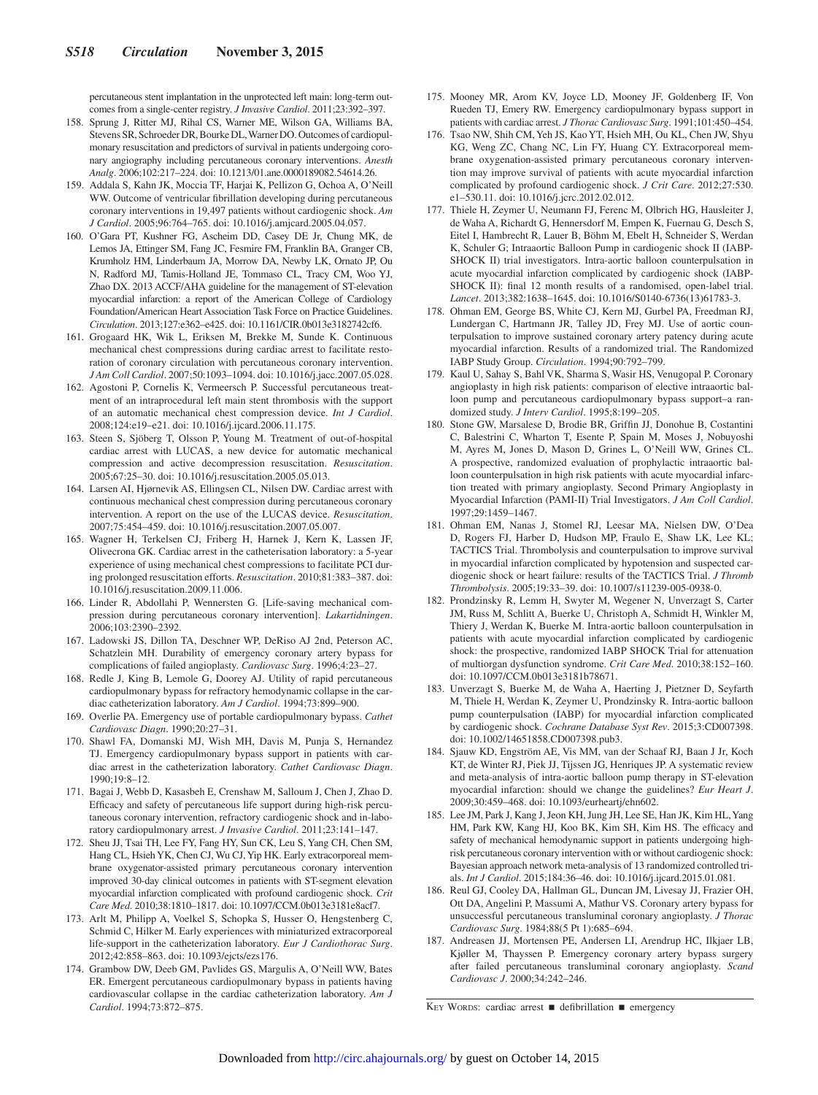percutaneous stent implantation in the unprotected left main: long-term outcomes from a single-center registry. *J Invasive Cardiol*. 2011;23:392–397.

- 158. Sprung J, Ritter MJ, Rihal CS, Warner ME, Wilson GA, Williams BA, Stevens SR, Schroeder DR, Bourke DL, Warner DO. Outcomes of cardiopulmonary resuscitation and predictors of survival in patients undergoing coronary angiography including percutaneous coronary interventions. *Anesth Analg*. 2006;102:217–224. doi: 10.1213/01.ane.0000189082.54614.26.
- 159. Addala S, Kahn JK, Moccia TF, Harjai K, Pellizon G, Ochoa A, O'Neill WW. Outcome of ventricular fibrillation developing during percutaneous coronary interventions in 19,497 patients without cardiogenic shock. *Am J Cardiol*. 2005;96:764–765. doi: 10.1016/j.amjcard.2005.04.057.
- 160. O'Gara PT, Kushner FG, Ascheim DD, Casey DE Jr, Chung MK, de Lemos JA, Ettinger SM, Fang JC, Fesmire FM, Franklin BA, Granger CB, Krumholz HM, Linderbaum JA, Morrow DA, Newby LK, Ornato JP, Ou N, Radford MJ, Tamis-Holland JE, Tommaso CL, Tracy CM, Woo YJ, Zhao DX. 2013 ACCF/AHA guideline for the management of ST-elevation myocardial infarction: a report of the American College of Cardiology Foundation/American Heart Association Task Force on Practice Guidelines. *Circulation*. 2013;127:e362–e425. doi: 10.1161/CIR.0b013e3182742cf6.
- 161. Grogaard HK, Wik L, Eriksen M, Brekke M, Sunde K. Continuous mechanical chest compressions during cardiac arrest to facilitate restoration of coronary circulation with percutaneous coronary intervention. *J Am Coll Cardiol*. 2007;50:1093–1094. doi: 10.1016/j.jacc.2007.05.028.
- 162. Agostoni P, Cornelis K, Vermeersch P. Successful percutaneous treatment of an intraprocedural left main stent thrombosis with the support of an automatic mechanical chest compression device. *Int J Cardiol*. 2008;124:e19–e21. doi: 10.1016/j.ijcard.2006.11.175.
- 163. Steen S, Sjöberg T, Olsson P, Young M. Treatment of out-of-hospital cardiac arrest with LUCAS, a new device for automatic mechanical compression and active decompression resuscitation. *Resuscitation*. 2005;67:25–30. doi: 10.1016/j.resuscitation.2005.05.013.
- 164. Larsen AI, Hjørnevik AS, Ellingsen CL, Nilsen DW. Cardiac arrest with continuous mechanical chest compression during percutaneous coronary intervention. A report on the use of the LUCAS device. *Resuscitation*. 2007;75:454–459. doi: 10.1016/j.resuscitation.2007.05.007.
- 165. Wagner H, Terkelsen CJ, Friberg H, Harnek J, Kern K, Lassen JF, Olivecrona GK. Cardiac arrest in the catheterisation laboratory: a 5-year experience of using mechanical chest compressions to facilitate PCI during prolonged resuscitation efforts. *Resuscitation*. 2010;81:383–387. doi: 10.1016/j.resuscitation.2009.11.006.
- 166. Linder R, Abdollahi P, Wennersten G. [Life-saving mechanical compression during percutaneous coronary intervention]. *Lakartidningen*. 2006;103:2390–2392.
- 167. Ladowski JS, Dillon TA, Deschner WP, DeRiso AJ 2nd, Peterson AC, Schatzlein MH. Durability of emergency coronary artery bypass for complications of failed angioplasty. *Cardiovasc Surg*. 1996;4:23–27.
- 168. Redle J, King B, Lemole G, Doorey AJ. Utility of rapid percutaneous cardiopulmonary bypass for refractory hemodynamic collapse in the cardiac catheterization laboratory. *Am J Cardiol*. 1994;73:899–900.
- 169. Overlie PA. Emergency use of portable cardiopulmonary bypass. *Cathet Cardiovasc Diagn*. 1990;20:27–31.
- 170. Shawl FA, Domanski MJ, Wish MH, Davis M, Punja S, Hernandez TJ. Emergency cardiopulmonary bypass support in patients with cardiac arrest in the catheterization laboratory. *Cathet Cardiovasc Diagn*. 1990;19:8–12.
- 171. Bagai J, Webb D, Kasasbeh E, Crenshaw M, Salloum J, Chen J, Zhao D. Efficacy and safety of percutaneous life support during high-risk percutaneous coronary intervention, refractory cardiogenic shock and in-laboratory cardiopulmonary arrest. *J Invasive Cardiol*. 2011;23:141–147.
- 172. Sheu JJ, Tsai TH, Lee FY, Fang HY, Sun CK, Leu S, Yang CH, Chen SM, Hang CL, Hsieh YK, Chen CJ, Wu CJ, Yip HK. Early extracorporeal membrane oxygenator-assisted primary percutaneous coronary intervention improved 30-day clinical outcomes in patients with ST-segment elevation myocardial infarction complicated with profound cardiogenic shock. *Crit Care Med*. 2010;38:1810–1817. doi: 10.1097/CCM.0b013e3181e8acf7.
- 173. Arlt M, Philipp A, Voelkel S, Schopka S, Husser O, Hengstenberg C, Schmid C, Hilker M. Early experiences with miniaturized extracorporeal life-support in the catheterization laboratory. *Eur J Cardiothorac Surg*. 2012;42:858–863. doi: 10.1093/ejcts/ezs176.
- 174. Grambow DW, Deeb GM, Pavlides GS, Margulis A, O'Neill WW, Bates ER. Emergent percutaneous cardiopulmonary bypass in patients having cardiovascular collapse in the cardiac catheterization laboratory. *Am J Cardiol*. 1994;73:872–875.
- 175. Mooney MR, Arom KV, Joyce LD, Mooney JF, Goldenberg IF, Von Rueden TJ, Emery RW. Emergency cardiopulmonary bypass support in patients with cardiac arrest. *J Thorac Cardiovasc Surg*. 1991;101:450–454.
- 176. Tsao NW, Shih CM, Yeh JS, Kao YT, Hsieh MH, Ou KL, Chen JW, Shyu KG, Weng ZC, Chang NC, Lin FY, Huang CY. Extracorporeal membrane oxygenation-assisted primary percutaneous coronary intervention may improve survival of patients with acute myocardial infarction complicated by profound cardiogenic shock. *J Crit Care*. 2012;27:530. e1–530.11. doi: 10.1016/j.jcrc.2012.02.012.
- 177. Thiele H, Zeymer U, Neumann FJ, Ferenc M, Olbrich HG, Hausleiter J, de Waha A, Richardt G, Hennersdorf M, Empen K, Fuernau G, Desch S, Eitel I, Hambrecht R, Lauer B, Böhm M, Ebelt H, Schneider S, Werdan K, Schuler G; Intraaortic Balloon Pump in cardiogenic shock II (IABP-SHOCK II) trial investigators. Intra-aortic balloon counterpulsation in acute myocardial infarction complicated by cardiogenic shock (IABP-SHOCK II): final 12 month results of a randomised, open-label trial. *Lancet*. 2013;382:1638–1645. doi: 10.1016/S0140-6736(13)61783-3.
- 178. Ohman EM, George BS, White CJ, Kern MJ, Gurbel PA, Freedman RJ, Lundergan C, Hartmann JR, Talley JD, Frey MJ. Use of aortic counterpulsation to improve sustained coronary artery patency during acute myocardial infarction. Results of a randomized trial. The Randomized IABP Study Group. *Circulation*. 1994;90:792–799.
- 179. Kaul U, Sahay S, Bahl VK, Sharma S, Wasir HS, Venugopal P. Coronary angioplasty in high risk patients: comparison of elective intraaortic balloon pump and percutaneous cardiopulmonary bypass support–a randomized study. *J Interv Cardiol*. 1995;8:199–205.
- 180. Stone GW, Marsalese D, Brodie BR, Griffin JJ, Donohue B, Costantini C, Balestrini C, Wharton T, Esente P, Spain M, Moses J, Nobuyoshi M, Ayres M, Jones D, Mason D, Grines L, O'Neill WW, Grines CL. A prospective, randomized evaluation of prophylactic intraaortic balloon counterpulsation in high risk patients with acute myocardial infarction treated with primary angioplasty. Second Primary Angioplasty in Myocardial Infarction (PAMI-II) Trial Investigators. *J Am Coll Cardiol*. 1997;29:1459–1467.
- 181. Ohman EM, Nanas J, Stomel RJ, Leesar MA, Nielsen DW, O'Dea D, Rogers FJ, Harber D, Hudson MP, Fraulo E, Shaw LK, Lee KL; TACTICS Trial. Thrombolysis and counterpulsation to improve survival in myocardial infarction complicated by hypotension and suspected cardiogenic shock or heart failure: results of the TACTICS Trial. *J Thromb Thrombolysis*. 2005;19:33–39. doi: 10.1007/s11239-005-0938-0.
- 182. Prondzinsky R, Lemm H, Swyter M, Wegener N, Unverzagt S, Carter JM, Russ M, Schlitt A, Buerke U, Christoph A, Schmidt H, Winkler M, Thiery J, Werdan K, Buerke M. Intra-aortic balloon counterpulsation in patients with acute myocardial infarction complicated by cardiogenic shock: the prospective, randomized IABP SHOCK Trial for attenuation of multiorgan dysfunction syndrome. *Crit Care Med*. 2010;38:152–160. doi: 10.1097/CCM.0b013e3181b78671.
- 183. Unverzagt S, Buerke M, de Waha A, Haerting J, Pietzner D, Seyfarth M, Thiele H, Werdan K, Zeymer U, Prondzinsky R. Intra-aortic balloon pump counterpulsation (IABP) for myocardial infarction complicated by cardiogenic shock. *Cochrane Database Syst Rev*. 2015;3:CD007398. doi: 10.1002/14651858.CD007398.pub3.
- 184. Sjauw KD, Engström AE, Vis MM, van der Schaaf RJ, Baan J Jr, Koch KT, de Winter RJ, Piek JJ, Tijssen JG, Henriques JP. A systematic review and meta-analysis of intra-aortic balloon pump therapy in ST-elevation myocardial infarction: should we change the guidelines? *Eur Heart J*. 2009;30:459–468. doi: 10.1093/eurheartj/ehn602.
- 185. Lee JM, Park J, Kang J, Jeon KH, Jung JH, Lee SE, Han JK, Kim HL, Yang HM, Park KW, Kang HJ, Koo BK, Kim SH, Kim HS. The efficacy and safety of mechanical hemodynamic support in patients undergoing highrisk percutaneous coronary intervention with or without cardiogenic shock: Bayesian approach network meta-analysis of 13 randomized controlled trials. *Int J Cardiol*. 2015;184:36–46. doi: 10.1016/j.ijcard.2015.01.081.
- 186. Reul GJ, Cooley DA, Hallman GL, Duncan JM, Livesay JJ, Frazier OH, Ott DA, Angelini P, Massumi A, Mathur VS. Coronary artery bypass for unsuccessful percutaneous transluminal coronary angioplasty. *J Thorac Cardiovasc Surg*. 1984;88(5 Pt 1):685–694.
- 187. Andreasen JJ, Mortensen PE, Andersen LI, Arendrup HC, Ilkjaer LB, Kjøller M, Thayssen P. Emergency coronary artery bypass surgery after failed percutaneous transluminal coronary angioplasty. *Scand Cardiovasc J*. 2000;34:242–246.

KEY WORDS: cardiac arrest ■ defibrillation ■ emergency